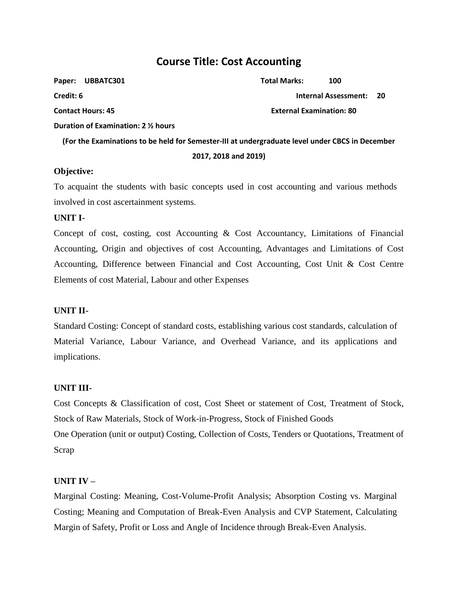## **Course Title: Cost Accounting**

| Paper:<br>UBBATC301                                                                             | <b>Total Marks:</b>             | 100                         |      |  |
|-------------------------------------------------------------------------------------------------|---------------------------------|-----------------------------|------|--|
| Credit: 6                                                                                       |                                 | <b>Internal Assessment:</b> | - 20 |  |
| <b>Contact Hours: 45</b>                                                                        | <b>External Examination: 80</b> |                             |      |  |
| Duration of Examination: 2 % hours                                                              |                                 |                             |      |  |
| (For the Examinations to be held for Semester-III at undergraduate level under CBCS in December |                                 |                             |      |  |
| 2017, 2018 and 2019)                                                                            |                                 |                             |      |  |

## **Objective:**

To acquaint the students with basic concepts used in cost accounting and various methods involved in cost ascertainment systems.

## **UNIT I-**

Concept of cost, costing, cost Accounting & Cost Accountancy, Limitations of Financial Accounting, Origin and objectives of cost Accounting, Advantages and Limitations of Cost Accounting, Difference between Financial and Cost Accounting, Cost Unit & Cost Centre Elements of cost Material, Labour and other Expenses

## **UNIT II-**

Standard Costing: Concept of standard costs, establishing various cost standards, calculation of Material Variance, Labour Variance, and Overhead Variance, and its applications and implications.

### **UNIT III-**

Cost Concepts & Classification of cost, Cost Sheet or statement of Cost, Treatment of Stock, Stock of Raw Materials, Stock of Work-in-Progress, Stock of Finished Goods One Operation (unit or output) Costing, Collection of Costs, Tenders or Quotations, Treatment of Scrap

## **UNIT IV –**

Marginal Costing: Meaning, Cost-Volume-Profit Analysis; Absorption Costing vs. Marginal Costing; Meaning and Computation of Break-Even Analysis and CVP Statement, Calculating Margin of Safety, Profit or Loss and Angle of Incidence through Break-Even Analysis.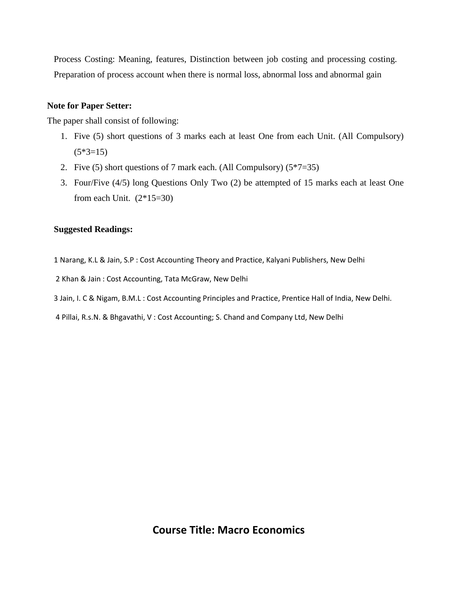Process Costing: Meaning, features, Distinction between job costing and processing costing. Preparation of process account when there is normal loss, abnormal loss and abnormal gain

## **Note for Paper Setter:**

The paper shall consist of following:

- 1. Five (5) short questions of 3 marks each at least One from each Unit. (All Compulsory)  $(5*3=15)$
- 2. Five (5) short questions of 7 mark each. (All Compulsory)  $(5*7=35)$
- 3. Four/Five (4/5) long Questions Only Two (2) be attempted of 15 marks each at least One from each Unit.  $(2*15=30)$

## **Suggested Readings:**

1 Narang, K.L & Jain, S.P : Cost Accounting Theory and Practice, Kalyani Publishers, New Delhi

2 Khan & Jain : Cost Accounting, Tata McGraw, New Delhi

3 Jain, I. C & Nigam, B.M.L : Cost Accounting Principles and Practice, Prentice Hall of India, New Delhi.

4 Pillai, R.s.N. & Bhgavathi, V : Cost Accounting; S. Chand and Company Ltd, New Delhi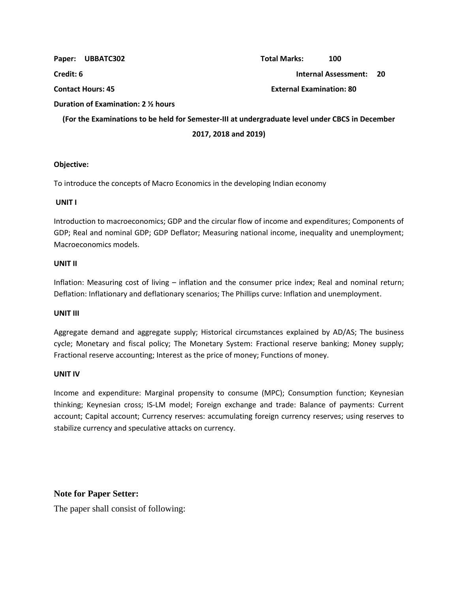|                          | Paper: UBBATC302                                                                                | <b>Total Marks:</b>             | 100                     |  |
|--------------------------|-------------------------------------------------------------------------------------------------|---------------------------------|-------------------------|--|
| Credit: 6                |                                                                                                 |                                 | Internal Assessment: 20 |  |
| <b>Contact Hours: 45</b> |                                                                                                 | <b>External Examination: 80</b> |                         |  |
|                          | Duration of Examination: 2 1/2 hours                                                            |                                 |                         |  |
|                          | (For the Examinations to be held for Semester-III at undergraduate level under CBCS in December |                                 |                         |  |
|                          | 2017, 2018 and 2019)                                                                            |                                 |                         |  |

### **Objective:**

To introduce the concepts of Macro Economics in the developing Indian economy

#### **UNIT I**

Introduction to macroeconomics; GDP and the circular flow of income and expenditures; Components of GDP; Real and nominal GDP; GDP Deflator; Measuring national income, inequality and unemployment; Macroeconomics models.

#### **UNIT II**

Inflation: Measuring cost of living – inflation and the consumer price index; Real and nominal return; Deflation: Inflationary and deflationary scenarios; The Phillips curve: Inflation and unemployment.

#### **UNIT III**

Aggregate demand and aggregate supply; Historical circumstances explained by AD/AS; The business cycle; Monetary and fiscal policy; The Monetary System: Fractional reserve banking; Money supply; Fractional reserve accounting; Interest as the price of money; Functions of money.

### **UNIT IV**

Income and expenditure: Marginal propensity to consume (MPC); Consumption function; Keynesian thinking; Keynesian cross; IS-LM model; Foreign exchange and trade: Balance of payments: Current account; Capital account; Currency reserves: accumulating foreign currency reserves; using reserves to stabilize currency and speculative attacks on currency.

## **Note for Paper Setter:**

The paper shall consist of following: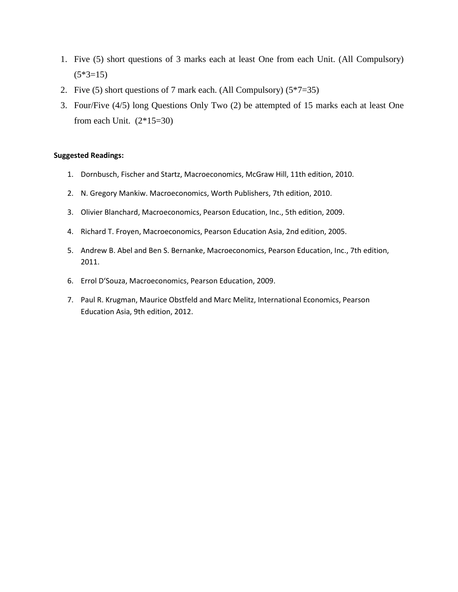- 1. Five (5) short questions of 3 marks each at least One from each Unit. (All Compulsory)  $(5*3=15)$
- 2. Five (5) short questions of 7 mark each. (All Compulsory)  $(5*7=35)$
- 3. Four/Five (4/5) long Questions Only Two (2) be attempted of 15 marks each at least One from each Unit.  $(2*15=30)$

#### **Suggested Readings:**

- 1. Dornbusch, Fischer and Startz, Macroeconomics, McGraw Hill, 11th edition, 2010.
- 2. N. Gregory Mankiw. Macroeconomics, Worth Publishers, 7th edition, 2010.
- 3. Olivier Blanchard, Macroeconomics, Pearson Education, Inc., 5th edition, 2009.
- 4. Richard T. Froyen, Macroeconomics, Pearson Education Asia, 2nd edition, 2005.
- 5. Andrew B. Abel and Ben S. Bernanke, Macroeconomics, Pearson Education, Inc., 7th edition, 2011.
- 6. Errol D'Souza, Macroeconomics, Pearson Education, 2009.
- 7. Paul R. Krugman, Maurice Obstfeld and Marc Melitz, International Economics, Pearson Education Asia, 9th edition, 2012.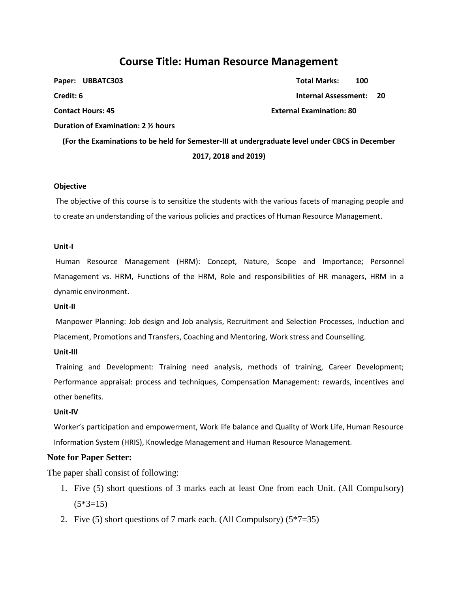## **Course Title: Human Resource Management**

|                      | Paper: UBBATC303                                                                                | <b>Total Marks:</b>             | 100 |  |  |
|----------------------|-------------------------------------------------------------------------------------------------|---------------------------------|-----|--|--|
| Credit: 6            |                                                                                                 | <b>Internal Assessment:</b>     |     |  |  |
|                      | <b>Contact Hours: 45</b>                                                                        | <b>External Examination: 80</b> |     |  |  |
|                      | Duration of Examination: 2 % hours                                                              |                                 |     |  |  |
|                      | (For the Examinations to be held for Semester-III at undergraduate level under CBCS in December |                                 |     |  |  |
| 2017, 2018 and 2019) |                                                                                                 |                                 |     |  |  |
|                      |                                                                                                 |                                 |     |  |  |

#### **Objective**

The objective of this course is to sensitize the students with the various facets of managing people and to create an understanding of the various policies and practices of Human Resource Management.

#### **Unit-I**

Human Resource Management (HRM): Concept, Nature, Scope and Importance; Personnel Management vs. HRM, Functions of the HRM, Role and responsibilities of HR managers, HRM in a dynamic environment.

#### **Unit-II**

Manpower Planning: Job design and Job analysis, Recruitment and Selection Processes, Induction and Placement, Promotions and Transfers, Coaching and Mentoring, Work stress and Counselling.

#### **Unit-III**

Training and Development: Training need analysis, methods of training, Career Development; Performance appraisal: process and techniques, Compensation Management: rewards, incentives and other benefits.

#### **Unit-IV**

Worker's participation and empowerment, Work life balance and Quality of Work Life, Human Resource Information System (HRIS), Knowledge Management and Human Resource Management.

#### **Note for Paper Setter:**

The paper shall consist of following:

- 1. Five (5) short questions of 3 marks each at least One from each Unit. (All Compulsory)  $(5*3=15)$
- 2. Five (5) short questions of 7 mark each. (All Compulsory)  $(5*7=35)$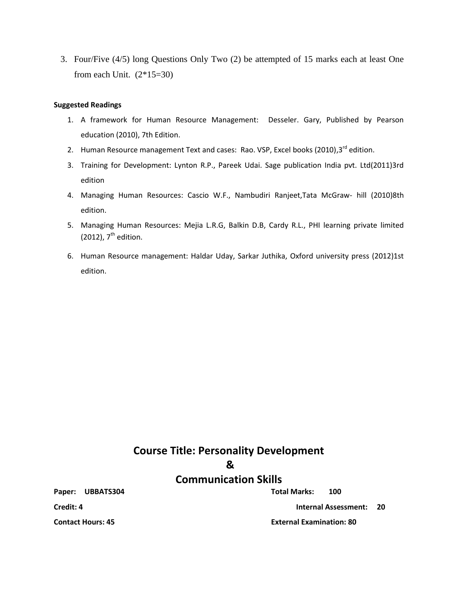3. Four/Five (4/5) long Questions Only Two (2) be attempted of 15 marks each at least One from each Unit.  $(2*15=30)$ 

#### **Suggested Readings**

- 1. A framework for Human Resource Management: Desseler. Gary, Published by Pearson education (2010), 7th Edition.
- 2. Human Resource management Text and cases: Rao. VSP, Excel books (2010),3<sup>rd</sup> edition.
- 3. Training for Development: Lynton R.P., Pareek Udai. Sage publication India pvt. Ltd(2011)3rd edition
- 4. Managing Human Resources: Cascio W.F., Nambudiri Ranjeet,Tata McGraw- hill (2010)8th edition.
- 5. Managing Human Resources: Mejia L.R.G, Balkin D.B, Cardy R.L., PHI learning private limited (2012),  $7^{\text{th}}$  edition.
- 6. Human Resource management: Haldar Uday, Sarkar Juthika, Oxford university press (2012)1st edition.

# **Course Title: Personality Development &**

## **Communication Skills**

**Paper: UBBATS304 Total Marks: 100**

**Credit: 4 Internal Assessment: 20** 

**Contact Hours: 45 External Examination: 80**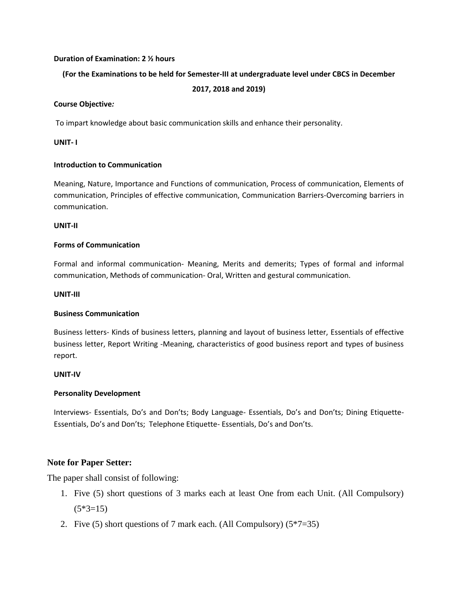#### **Duration of Examination: 2 ½ hours**

### **(For the Examinations to be held for Semester-III at undergraduate level under CBCS in December**

### **2017, 2018 and 2019)**

#### **Course Objective***:*

To impart knowledge about basic communication skills and enhance their personality.

### **UNIT- I**

### **Introduction to Communication**

Meaning, Nature, Importance and Functions of communication, Process of communication, Elements of communication, Principles of effective communication, Communication Barriers-Overcoming barriers in communication.

#### **UNIT-II**

#### **Forms of Communication**

Formal and informal communication- Meaning, Merits and demerits; Types of formal and informal communication, Methods of communication- Oral, Written and gestural communication.

#### **UNIT-III**

### **Business Communication**

Business letters- Kinds of business letters, planning and layout of business letter, Essentials of effective business letter, Report Writing -Meaning, characteristics of good business report and types of business report.

### **UNIT-IV**

### **Personality Development**

Interviews- Essentials, Do's and Don'ts; Body Language- Essentials, Do's and Don'ts; Dining Etiquette-Essentials, Do's and Don'ts; Telephone Etiquette- Essentials, Do's and Don'ts.

### **Note for Paper Setter:**

The paper shall consist of following:

- 1. Five (5) short questions of 3 marks each at least One from each Unit. (All Compulsory)  $(5*3=15)$
- 2. Five (5) short questions of 7 mark each. (All Compulsory)  $(5*7=35)$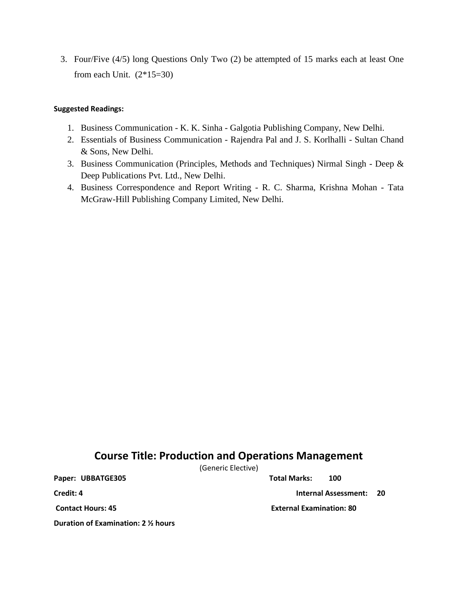3. Four/Five (4/5) long Questions Only Two (2) be attempted of 15 marks each at least One from each Unit.  $(2*15=30)$ 

## **Suggested Readings:**

- 1. Business Communication K. K. Sinha Galgotia Publishing Company, New Delhi.
- 2. Essentials of Business Communication Rajendra Pal and J. S. Korlhalli Sultan Chand & Sons, New Delhi.
- 3. Business Communication (Principles, Methods and Techniques) Nirmal Singh Deep & Deep Publications Pvt. Ltd., New Delhi.
- 4. Business Correspondence and Report Writing R. C. Sharma, Krishna Mohan Tata McGraw-Hill Publishing Company Limited, New Delhi.

## **Course Title: Production and Operations Management**

(Generic Elective)

**Paper: UBBATGE305 Total Marks: 100**

**Credit: 4 Internal Assessment: 20** 

**Contact Hours: 45 External Examination: 80**

**Duration of Examination: 2 ½ hours**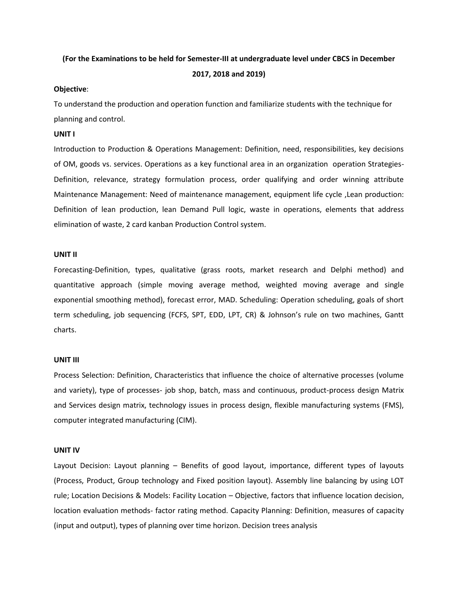## **(For the Examinations to be held for Semester-III at undergraduate level under CBCS in December**

#### **2017, 2018 and 2019)**

#### **Objective**:

To understand the production and operation function and familiarize students with the technique for planning and control.

#### **UNIT I**

Introduction to Production & Operations Management: Definition, need, responsibilities, key decisions of OM, goods vs. services. Operations as a key functional area in an organization operation Strategies-Definition, relevance, strategy formulation process, order qualifying and order winning attribute Maintenance Management: Need of maintenance management, equipment life cycle ,Lean production: Definition of lean production, lean Demand Pull logic, waste in operations, elements that address elimination of waste, 2 card kanban Production Control system.

#### **UNIT II**

Forecasting-Definition, types, qualitative (grass roots, market research and Delphi method) and quantitative approach (simple moving average method, weighted moving average and single exponential smoothing method), forecast error, MAD. Scheduling: Operation scheduling, goals of short term scheduling, job sequencing (FCFS, SPT, EDD, LPT, CR) & Johnson's rule on two machines, Gantt charts.

#### **UNIT III**

Process Selection: Definition, Characteristics that influence the choice of alternative processes (volume and variety), type of processes- job shop, batch, mass and continuous, product-process design Matrix and Services design matrix, technology issues in process design, flexible manufacturing systems (FMS), computer integrated manufacturing (CIM).

#### **UNIT IV**

Layout Decision: Layout planning – Benefits of good layout, importance, different types of layouts (Process, Product, Group technology and Fixed position layout). Assembly line balancing by using LOT rule; Location Decisions & Models: Facility Location – Objective, factors that influence location decision, location evaluation methods- factor rating method. Capacity Planning: Definition, measures of capacity (input and output), types of planning over time horizon. Decision trees analysis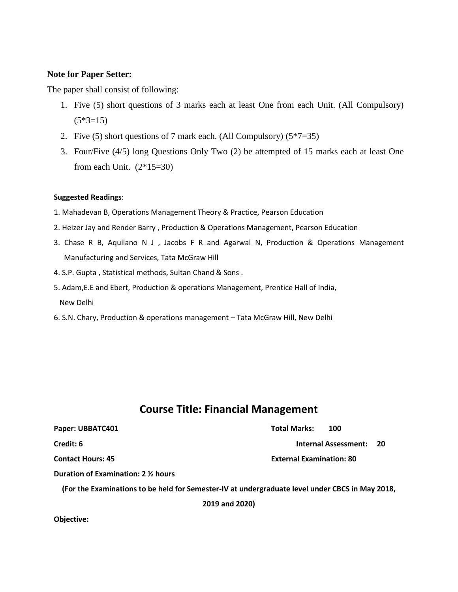## **Note for Paper Setter:**

The paper shall consist of following:

- 1. Five (5) short questions of 3 marks each at least One from each Unit. (All Compulsory)  $(5*3=15)$
- 2. Five (5) short questions of 7 mark each. (All Compulsory)  $(5*7=35)$
- 3. Four/Five (4/5) long Questions Only Two (2) be attempted of 15 marks each at least One from each Unit.  $(2*15=30)$

### **Suggested Readings**:

- 1. Mahadevan B, Operations Management Theory & Practice, Pearson Education
- 2. Heizer Jay and Render Barry , Production & Operations Management, Pearson Education
- 3. Chase R B, Aquilano N J , Jacobs F R and Agarwal N, Production & Operations Management Manufacturing and Services, Tata McGraw Hill
- 4. S.P. Gupta , Statistical methods, Sultan Chand & Sons .
- 5. Adam,E.E and Ebert, Production & operations Management, Prentice Hall of India, New Delhi
- 6. S.N. Chary, Production & operations management Tata McGraw Hill, New Delhi

## **Course Title: Financial Management**

| Paper: UBBATC401                                                                                | <b>Total Marks:</b><br>100          |
|-------------------------------------------------------------------------------------------------|-------------------------------------|
| Credit: 6                                                                                       | <b>Internal Assessment:</b><br>- 20 |
| <b>Contact Hours: 45</b>                                                                        | <b>External Examination: 80</b>     |
| Duration of Examination: 2 1/2 hours                                                            |                                     |
| (For the Examinations to be held for Semester-IV at undergraduate level under CBCS in May 2018, |                                     |
| 2019 and 2020)                                                                                  |                                     |

**Objective:**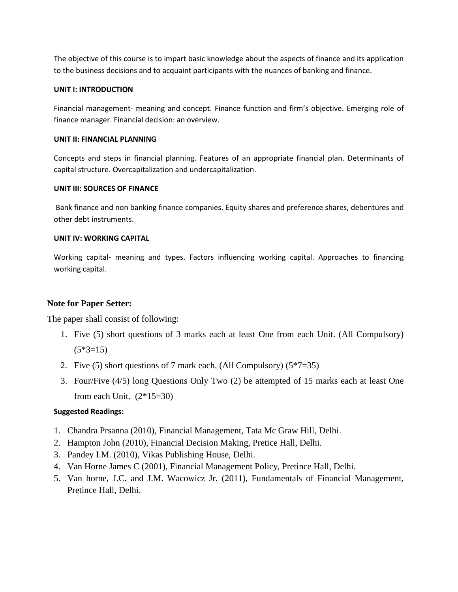The objective of this course is to impart basic knowledge about the aspects of finance and its application to the business decisions and to acquaint participants with the nuances of banking and finance.

### **UNIT I: INTRODUCTION**

Financial management- meaning and concept. Finance function and firm's objective. Emerging role of finance manager. Financial decision: an overview.

### **UNIT II: FINANCIAL PLANNING**

Concepts and steps in financial planning. Features of an appropriate financial plan. Determinants of capital structure. Overcapitalization and undercapitalization.

## **UNIT III: SOURCES OF FINANCE**

Bank finance and non banking finance companies. Equity shares and preference shares, debentures and other debt instruments.

## **UNIT IV: WORKING CAPITAL**

Working capital- meaning and types. Factors influencing working capital. Approaches to financing working capital.

## **Note for Paper Setter:**

The paper shall consist of following:

- 1. Five (5) short questions of 3 marks each at least One from each Unit. (All Compulsory)  $(5*3=15)$
- 2. Five (5) short questions of 7 mark each. (All Compulsory)  $(5*7=35)$
- 3. Four/Five (4/5) long Questions Only Two (2) be attempted of 15 marks each at least One from each Unit.  $(2*15=30)$

## **Suggested Readings:**

- 1. Chandra Prsanna (2010), Financial Management, Tata Mc Graw Hill, Delhi.
- 2. Hampton John (2010), Financial Decision Making, Pretice Hall, Delhi.
- 3. Pandey I.M. (2010), Vikas Publishing House, Delhi.
- 4. Van Horne James C (2001), Financial Management Policy, Pretince Hall, Delhi.
- 5. Van horne, J.C. and J.M. Wacowicz Jr. (2011), Fundamentals of Financial Management, Pretince Hall, Delhi.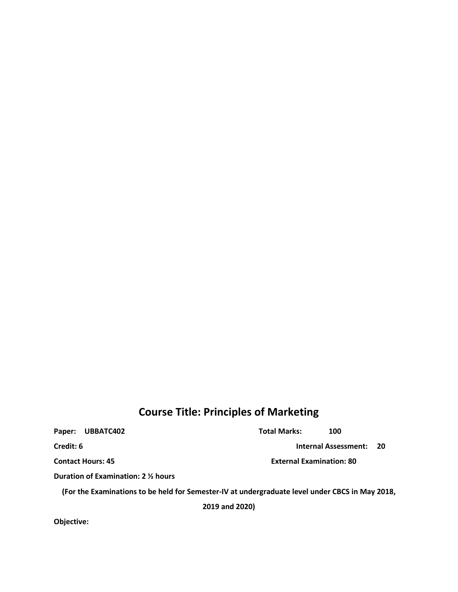## **Course Title: Principles of Marketing**

Paper: UBBATC402 **Total Marks:** 100 **Credit: 6 Internal Assessment: 20 Contact Hours: 45 External Examination: 80 Duration of Examination: 2 ½ hours (For the Examinations to be held for Semester-IV at undergraduate level under CBCS in May 2018, 2019 and 2020)**

**Objective:**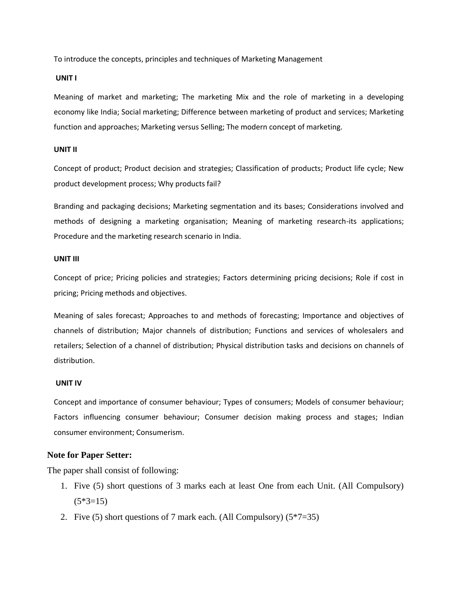To introduce the concepts, principles and techniques of Marketing Management

#### **UNIT I**

Meaning of market and marketing; The marketing Mix and the role of marketing in a developing economy like India; Social marketing; Difference between marketing of product and services; Marketing function and approaches; Marketing versus Selling; The modern concept of marketing.

#### **UNIT II**

Concept of product; Product decision and strategies; Classification of products; Product life cycle; New product development process; Why products fail?

Branding and packaging decisions; Marketing segmentation and its bases; Considerations involved and methods of designing a marketing organisation; Meaning of marketing research-its applications; Procedure and the marketing research scenario in India.

#### **UNIT III**

Concept of price; Pricing policies and strategies; Factors determining pricing decisions; Role if cost in pricing; Pricing methods and objectives.

Meaning of sales forecast; Approaches to and methods of forecasting; Importance and objectives of channels of distribution; Major channels of distribution; Functions and services of wholesalers and retailers; Selection of a channel of distribution; Physical distribution tasks and decisions on channels of distribution.

#### **UNIT IV**

Concept and importance of consumer behaviour; Types of consumers; Models of consumer behaviour; Factors influencing consumer behaviour; Consumer decision making process and stages; Indian consumer environment; Consumerism.

#### **Note for Paper Setter:**

The paper shall consist of following:

- 1. Five (5) short questions of 3 marks each at least One from each Unit. (All Compulsory)  $(5*3=15)$
- 2. Five (5) short questions of 7 mark each. (All Compulsory)  $(5*7=35)$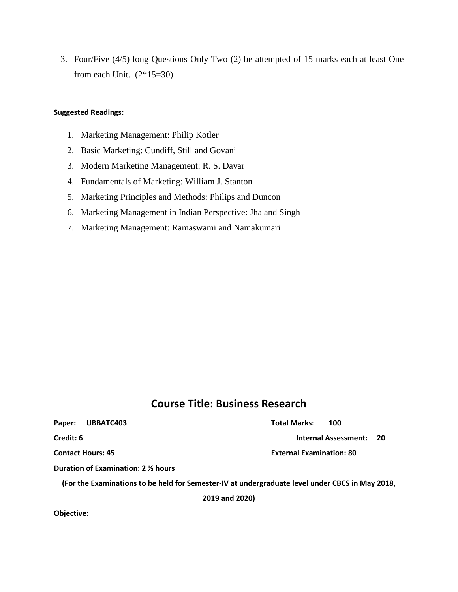3. Four/Five (4/5) long Questions Only Two (2) be attempted of 15 marks each at least One from each Unit.  $(2*15=30)$ 

#### **Suggested Readings:**

- 1. Marketing Management: Philip Kotler
- 2. Basic Marketing: Cundiff, Still and Govani
- 3. Modern Marketing Management: R. S. Davar
- 4. Fundamentals of Marketing: William J. Stanton
- 5. Marketing Principles and Methods: Philips and Duncon
- 6. Marketing Management in Indian Perspective: Jha and Singh
- 7. Marketing Management: Ramaswami and Namakumari

## **Course Title: Business Research**

### **Paper: UBBATC403 Total Marks: 100**

**Credit: 6 Internal Assessment: 20** 

**Contact Hours: 45 External Examination: 80**

**Duration of Examination: 2 ½ hours**

**(For the Examinations to be held for Semester-IV at undergraduate level under CBCS in May 2018,** 

**2019 and 2020)**

**Objective:**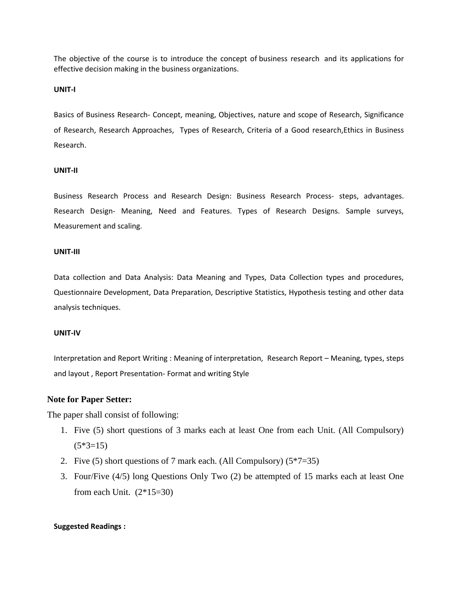The objective of the course is to introduce the concept of business research and its applications for effective decision making in the business organizations.

#### **UNIT-I**

Basics of Business Research- Concept, meaning, Objectives, nature and scope of Research, Significance of Research, Research Approaches, Types of Research, Criteria of a Good research,Ethics in Business Research.

#### **UNIT-II**

Business Research Process and Research Design: Business Research Process- steps, advantages. Research Design- Meaning, Need and Features. Types of Research Designs. Sample surveys, Measurement and scaling.

### **UNIT-III**

Data collection and Data Analysis: Data Meaning and Types, Data Collection types and procedures, Questionnaire Development, Data Preparation, Descriptive Statistics, Hypothesis testing and other data analysis techniques.

#### **UNIT-IV**

Interpretation and Report Writing : Meaning of interpretation, Research Report – Meaning, types, steps and layout , Report Presentation- Format and writing Style

#### **Note for Paper Setter:**

The paper shall consist of following:

- 1. Five (5) short questions of 3 marks each at least One from each Unit. (All Compulsory)  $(5*3=15)$
- 2. Five (5) short questions of 7 mark each. (All Compulsory)  $(5*7=35)$
- 3. Four/Five (4/5) long Questions Only Two (2) be attempted of 15 marks each at least One from each Unit.  $(2*15=30)$

#### **Suggested Readings :**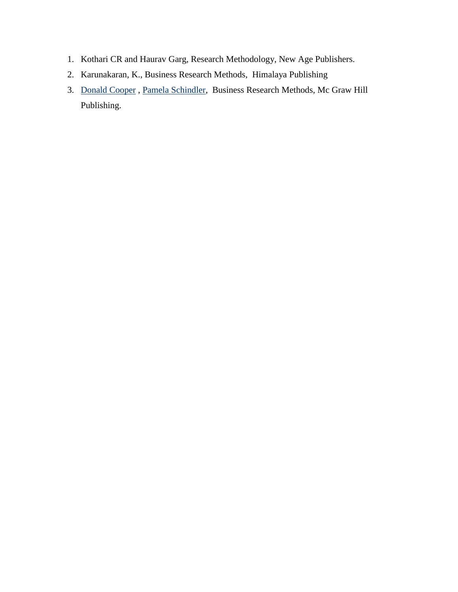- 1. Kothari CR and Haurav Garg, Research Methodology, New Age Publishers.
- 2. [Karunakaran, K.,](https://www.abebooks.com/servlet/SearchResults?an=Karunakaran%2C+K.&cm_sp=det-_-bdp-_-author) Business Research Methods, Himalaya Publishing
- 3. [Donald Cooper](http://www.amazon.in/s/ref=dp_byline_sr_book_1?ie=UTF8&field-author=Donald+Cooper&search-alias=stripbooks) , [Pamela Schindler,](http://www.amazon.in/s/ref=dp_byline_sr_book_2?ie=UTF8&field-author=Pamela+Schindler&search-alias=stripbooks) Business Research Methods, Mc Graw Hill Publishing.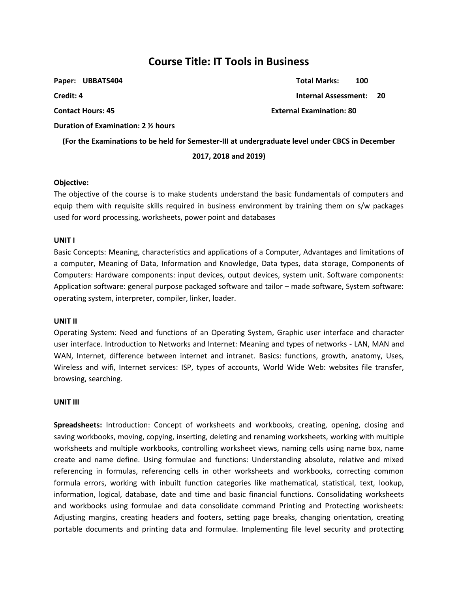## **Course Title: IT Tools in Business**

| Paper: UBBATS404                                                                                | <b>Total Marks:</b><br>100          |  |  |  |
|-------------------------------------------------------------------------------------------------|-------------------------------------|--|--|--|
| Credit: 4                                                                                       | <b>Internal Assessment:</b><br>- 20 |  |  |  |
| <b>Contact Hours: 45</b>                                                                        | <b>External Examination: 80</b>     |  |  |  |
| Duration of Examination: 2 1/2 hours                                                            |                                     |  |  |  |
| (For the Examinations to be held for Semester-III at undergraduate level under CBCS in December |                                     |  |  |  |
| 2017, 2018 and 2019)                                                                            |                                     |  |  |  |

#### **Objective:**

The objective of the course is to make students understand the basic fundamentals of computers and equip them with requisite skills required in business environment by training them on s/w packages used for word processing, worksheets, power point and databases

#### **UNIT I**

Basic Concepts: Meaning, characteristics and applications of a Computer, Advantages and limitations of a computer, Meaning of Data, Information and Knowledge, Data types, data storage, Components of Computers: Hardware components: input devices, output devices, system unit. Software components: Application software: general purpose packaged software and tailor – made software, System software: operating system, interpreter, compiler, linker, loader.

#### **UNIT II**

Operating System: Need and functions of an Operating System, Graphic user interface and character user interface. Introduction to Networks and Internet: Meaning and types of networks - LAN, MAN and WAN, Internet, difference between internet and intranet. Basics: functions, growth, anatomy, Uses, Wireless and wifi, Internet services: ISP, types of accounts, World Wide Web: websites file transfer, browsing, searching.

#### **UNIT III**

**Spreadsheets:** Introduction: Concept of worksheets and workbooks, creating, opening, closing and saving workbooks, moving, copying, inserting, deleting and renaming worksheets, working with multiple worksheets and multiple workbooks, controlling worksheet views, naming cells using name box, name create and name define. Using formulae and functions: Understanding absolute, relative and mixed referencing in formulas, referencing cells in other worksheets and workbooks, correcting common formula errors, working with inbuilt function categories like mathematical, statistical, text, lookup, information, logical, database, date and time and basic financial functions. Consolidating worksheets and workbooks using formulae and data consolidate command Printing and Protecting worksheets: Adjusting margins, creating headers and footers, setting page breaks, changing orientation, creating portable documents and printing data and formulae. Implementing file level security and protecting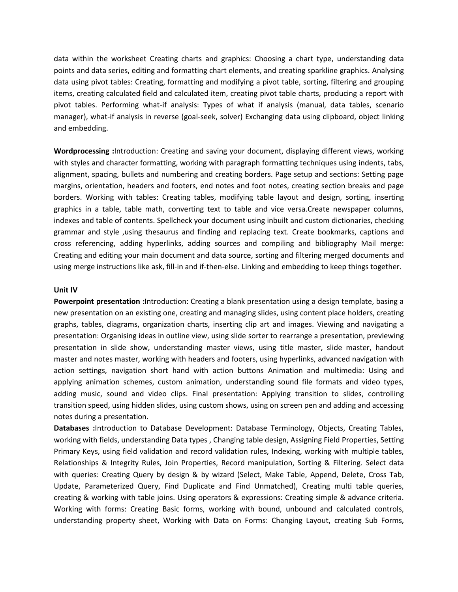data within the worksheet Creating charts and graphics: Choosing a chart type, understanding data points and data series, editing and formatting chart elements, and creating sparkline graphics. Analysing data using pivot tables: Creating, formatting and modifying a pivot table, sorting, filtering and grouping items, creating calculated field and calculated item, creating pivot table charts, producing a report with pivot tables. Performing what-if analysis: Types of what if analysis (manual, data tables, scenario manager), what-if analysis in reverse (goal-seek, solver) Exchanging data using clipboard, object linking and embedding.

**Wordprocessing :**Introduction: Creating and saving your document, displaying different views, working with styles and character formatting, working with paragraph formatting techniques using indents, tabs, alignment, spacing, bullets and numbering and creating borders. Page setup and sections: Setting page margins, orientation, headers and footers, end notes and foot notes, creating section breaks and page borders. Working with tables: Creating tables, modifying table layout and design, sorting, inserting graphics in a table, table math, converting text to table and vice versa.Create newspaper columns, indexes and table of contents. Spellcheck your document using inbuilt and custom dictionaries, checking grammar and style ,using thesaurus and finding and replacing text. Create bookmarks, captions and cross referencing, adding hyperlinks, adding sources and compiling and bibliography Mail merge: Creating and editing your main document and data source, sorting and filtering merged documents and using merge instructions like ask, fill-in and if-then-else. Linking and embedding to keep things together.

#### **Unit IV**

**Powerpoint presentation :**Introduction: Creating a blank presentation using a design template, basing a new presentation on an existing one, creating and managing slides, using content place holders, creating graphs, tables, diagrams, organization charts, inserting clip art and images. Viewing and navigating a presentation: Organising ideas in outline view, using slide sorter to rearrange a presentation, previewing presentation in slide show, understanding master views, using title master, slide master, handout master and notes master, working with headers and footers, using hyperlinks, advanced navigation with action settings, navigation short hand with action buttons Animation and multimedia: Using and applying animation schemes, custom animation, understanding sound file formats and video types, adding music, sound and video clips. Final presentation: Applying transition to slides, controlling transition speed, using hidden slides, using custom shows, using on screen pen and adding and accessing notes during a presentation.

**Databases :**Introduction to Database Development: Database Terminology, Objects, Creating Tables, working with fields, understanding Data types , Changing table design, Assigning Field Properties, Setting Primary Keys, using field validation and record validation rules, Indexing, working with multiple tables, Relationships & Integrity Rules, Join Properties, Record manipulation, Sorting & Filtering. Select data with queries: Creating Query by design & by wizard (Select, Make Table, Append, Delete, Cross Tab, Update, Parameterized Query, Find Duplicate and Find Unmatched), Creating multi table queries, creating & working with table joins. Using operators & expressions: Creating simple & advance criteria. Working with forms: Creating Basic forms, working with bound, unbound and calculated controls, understanding property sheet, Working with Data on Forms: Changing Layout, creating Sub Forms,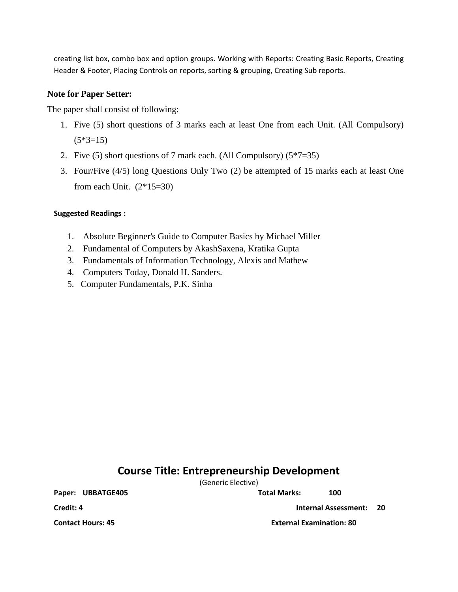creating list box, combo box and option groups. Working with Reports: Creating Basic Reports, Creating Header & Footer, Placing Controls on reports, sorting & grouping, Creating Sub reports.

## **Note for Paper Setter:**

The paper shall consist of following:

- 1. Five (5) short questions of 3 marks each at least One from each Unit. (All Compulsory)  $(5*3=15)$
- 2. Five (5) short questions of 7 mark each. (All Compulsory) (5\*7=35)
- 3. Four/Five (4/5) long Questions Only Two (2) be attempted of 15 marks each at least One from each Unit.  $(2*15=30)$

## **Suggested Readings :**

- 1. Absolute Beginner's Guide to Computer Basics by Michael Miller
- 2. Fundamental of Computers by AkashSaxena, Kratika Gupta
- 3. Fundamentals of Information Technology, Alexis and Mathew
- 4. Computers Today, Donald H. Sanders.
- 5. Computer Fundamentals, P.K. Sinha

## **Course Title: Entrepreneurship Development**

(Generic Elective)

Paper: UBBATGE405 Total Marks: 100

**Credit: 4 Internal Assessment: 20**

**Contact Hours: 45 External Examination: 80**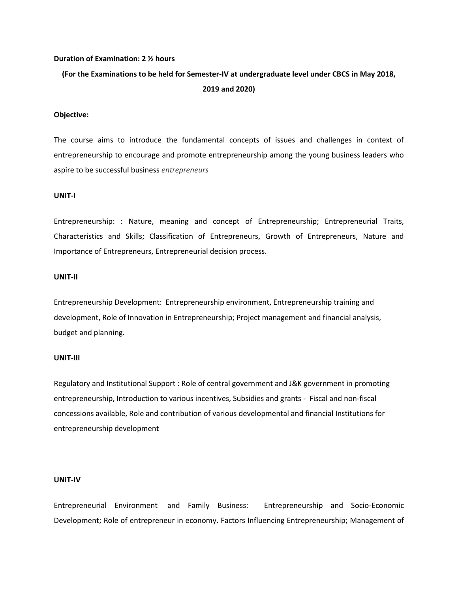#### **Duration of Examination: 2 ½ hours**

## **(For the Examinations to be held for Semester-IV at undergraduate level under CBCS in May 2018, 2019 and 2020)**

#### **Objective:**

The course aims to introduce the fundamental concepts of issues and challenges in context of entrepreneurship to encourage and promote entrepreneurship among the young business leaders who aspire to be successful business *entrepreneurs*

#### **UNIT-I**

Entrepreneurship: : Nature, meaning and concept of Entrepreneurship; Entrepreneurial Traits, Characteristics and Skills; Classification of Entrepreneurs, Growth of Entrepreneurs, Nature and Importance of Entrepreneurs, Entrepreneurial decision process.

#### **UNIT-II**

Entrepreneurship Development: Entrepreneurship environment, Entrepreneurship training and development, Role of Innovation in Entrepreneurship; Project management and financial analysis, budget and planning.

#### **UNIT-III**

Regulatory and Institutional Support : Role of central government and J&K government in promoting entrepreneurship, Introduction to various incentives, Subsidies and grants - Fiscal and non-fiscal concessions available, Role and contribution of various developmental and financial Institutions for entrepreneurship development

#### **UNIT-IV**

Entrepreneurial Environment and Family Business: Entrepreneurship and Socio-Economic Development; Role of entrepreneur in economy. Factors Influencing Entrepreneurship; Management of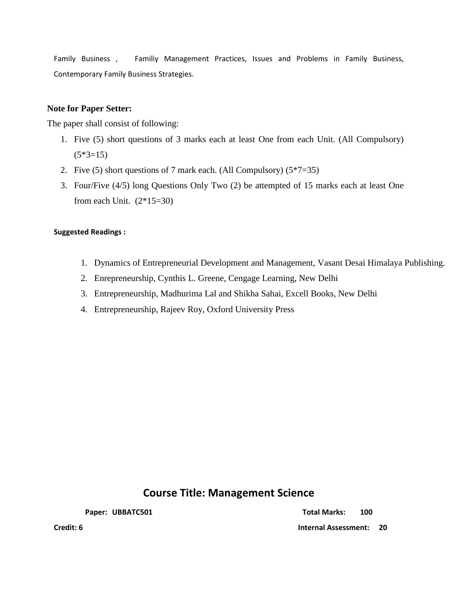Family Business , Familiy Management Practices, Issues and Problems in Family Business, Contemporary Family Business Strategies.

## **Note for Paper Setter:**

The paper shall consist of following:

- 1. Five (5) short questions of 3 marks each at least One from each Unit. (All Compulsory)  $(5*3=15)$
- 2. Five (5) short questions of 7 mark each. (All Compulsory) (5\*7=35)
- 3. Four/Five (4/5) long Questions Only Two (2) be attempted of 15 marks each at least One from each Unit.  $(2*15=30)$

## **Suggested Readings :**

- 1. Dynamics of Entrepreneurial Development and Management, Vasant Desai Himalaya Publishing.
- 2. Enrepreneurship, Cynthis L. Greene, Cengage Learning, New Delhi
- 3. Entrepreneurship, Madhurima Lal and Shikha Sahai, Excell Books, New Delhi
- 4. Entrepreneurship, Rajeev Roy, Oxford University Press

## **Course Title: Management Science**

**Paper:** UBBATC501 **Total Marks:** 100

**Credit: 6 Internal Assessment: 20**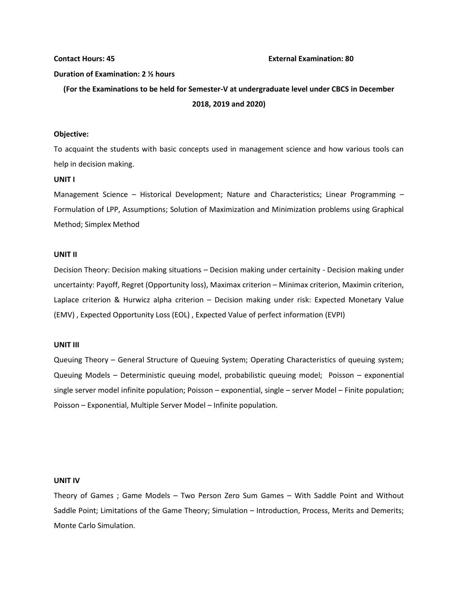#### **Contact Hours: 45 External Examination: 80**

#### **Duration of Examination: 2 ½ hours**

**(For the Examinations to be held for Semester-V at undergraduate level under CBCS in December 2018, 2019 and 2020)**

#### **Objective:**

To acquaint the students with basic concepts used in management science and how various tools can help in decision making.

#### **UNIT I**

Management Science – Historical Development; Nature and Characteristics; Linear Programming – Formulation of LPP, Assumptions; Solution of Maximization and Minimization problems using Graphical Method; Simplex Method

#### **UNIT II**

Decision Theory: Decision making situations – Decision making under certainity - Decision making under uncertainty: Payoff, Regret (Opportunity loss), Maximax criterion – Minimax criterion, Maximin criterion, Laplace criterion & Hurwicz alpha criterion – Decision making under risk: Expected Monetary Value (EMV) , Expected Opportunity Loss (EOL) , Expected Value of perfect information (EVPI)

#### **UNIT III**

Queuing Theory – General Structure of Queuing System; Operating Characteristics of queuing system; Queuing Models – Deterministic queuing model, probabilistic queuing model; Poisson – exponential single server model infinite population; Poisson – exponential, single – server Model – Finite population; Poisson – Exponential, Multiple Server Model – Infinite population.

#### **UNIT IV**

Theory of Games ; Game Models – Two Person Zero Sum Games – With Saddle Point and Without Saddle Point; Limitations of the Game Theory; Simulation – Introduction, Process, Merits and Demerits; Monte Carlo Simulation.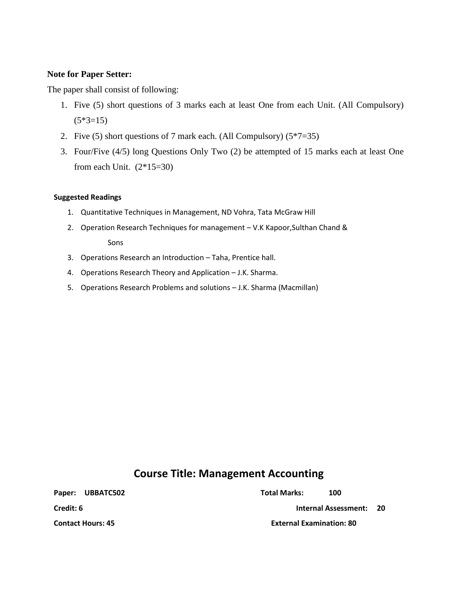## **Note for Paper Setter:**

The paper shall consist of following:

- 1. Five (5) short questions of 3 marks each at least One from each Unit. (All Compulsory)  $(5*3=15)$
- 2. Five (5) short questions of 7 mark each. (All Compulsory)  $(5*7=35)$
- 3. Four/Five (4/5) long Questions Only Two (2) be attempted of 15 marks each at least One from each Unit.  $(2*15=30)$

### **Suggested Readings**

- 1. Quantitative Techniques in Management, ND Vohra, Tata McGraw Hill
- 2. Operation Research Techniques for management V.K Kapoor,Sulthan Chand & Sons
- 3. Operations Research an Introduction Taha, Prentice hall.
- 4. Operations Research Theory and Application J.K. Sharma.
- 5. Operations Research Problems and solutions J.K. Sharma (Macmillan)

## **Course Title: Management Accounting**

Paper: UBBATC502 and the UBBATC502 contract of the UBBATC502 contract of the USBATC502 contract of the USBATC502 **Credit: 6 Internal Assessment: 20 Contact Hours: 45 External Examination: 80**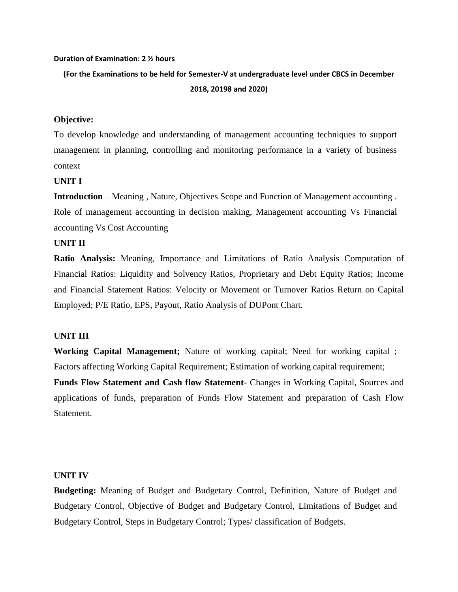#### **Duration of Examination: 2 ½ hours**

**(For the Examinations to be held for Semester-V at undergraduate level under CBCS in December 2018, 20198 and 2020)**

## **Objective:**

To develop knowledge and understanding of management accounting techniques to support management in planning, controlling and monitoring performance in a variety of business context

## **UNIT I**

**Introduction** – Meaning , Nature, Objectives Scope and Function of Management accounting . Role of management accounting in decision making, Management accounting Vs Financial accounting Vs Cost Accounting

#### **UNIT II**

**Ratio Analysis:** Meaning, Importance and Limitations of Ratio Analysis Computation of Financial Ratios: Liquidity and Solvency Ratios, Proprietary and Debt Equity Ratios; Income and Financial Statement Ratios: Velocity or Movement or Turnover Ratios Return on Capital Employed; P/E Ratio, EPS, Payout, Ratio Analysis of DUPont Chart.

### **UNIT III**

**Working Capital Management;** Nature of working capital; Need for working capital ; Factors affecting Working Capital Requirement; Estimation of working capital requirement; **Funds Flow Statement and Cash flow Statement**- Changes in Working Capital, Sources and applications of funds, preparation of Funds Flow Statement and preparation of Cash Flow **Statement** 

### **UNIT IV**

**Budgeting:** Meaning of Budget and Budgetary Control, Definition, Nature of Budget and Budgetary Control, Objective of Budget and Budgetary Control, Limitations of Budget and Budgetary Control, Steps in Budgetary Control; Types/ classification of Budgets.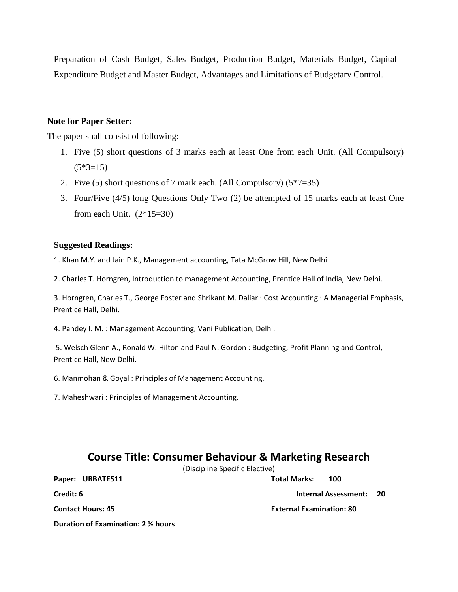Preparation of Cash Budget, Sales Budget, Production Budget, Materials Budget, Capital Expenditure Budget and Master Budget, Advantages and Limitations of Budgetary Control.

### **Note for Paper Setter:**

The paper shall consist of following:

- 1. Five (5) short questions of 3 marks each at least One from each Unit. (All Compulsory)  $(5*3=15)$
- 2. Five (5) short questions of 7 mark each. (All Compulsory)  $(5*7=35)$
- 3. Four/Five (4/5) long Questions Only Two (2) be attempted of 15 marks each at least One from each Unit.  $(2*15=30)$

## **Suggested Readings:**

1. Khan M.Y. and Jain P.K., Management accounting, Tata McGrow Hill, New Delhi.

2. Charles T. Horngren, Introduction to management Accounting, Prentice Hall of India, New Delhi.

3. Horngren, Charles T., George Foster and Shrikant M. Daliar : Cost Accounting : A Managerial Emphasis, Prentice Hall, Delhi.

4. Pandey I. M. : Management Accounting, Vani Publication, Delhi.

5. Welsch Glenn A., Ronald W. Hilton and Paul N. Gordon : Budgeting, Profit Planning and Control, Prentice Hall, New Delhi.

6. Manmohan & Goyal : Principles of Management Accounting.

7. Maheshwari : Principles of Management Accounting.

## **Course Title: Consumer Behaviour & Marketing Research**

(Discipline Specific Elective)

**Paper: UBBATE511 Total Marks: 100**

**Credit: 6 Internal Assessment: 20** 

**Contact Hours: 45 External Examination: 80**

**Duration of Examination: 2 ½ hours**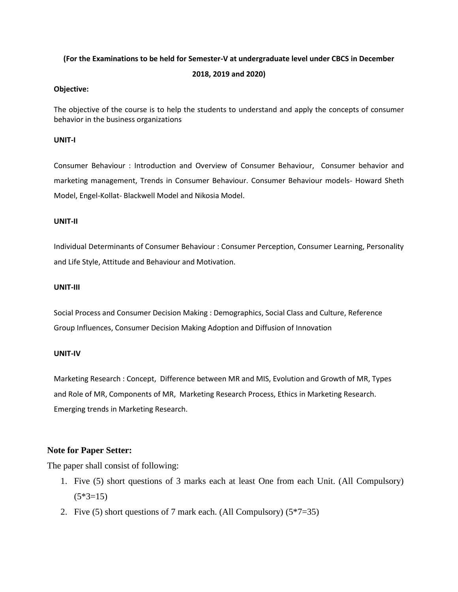#### **(For the Examinations to be held for Semester-V at undergraduate level under CBCS in December**

#### **2018, 2019 and 2020)**

#### **Objective:**

The objective of the course is to help the students to understand and apply the concepts of consumer behavior in the business organizations

#### **UNIT-I**

Consumer Behaviour : Introduction and [Overview of Consumer Behaviour,](http://www.sykronix.com/tsoc/courses/cb/cb_ovr.htm) Consumer behavior and marketing management, Trends in Consumer Behaviour. Consumer Behaviour models- Howard Sheth Model, Engel-Kollat- Blackwell Model and Nikosia Model.

#### **UNIT-II**

Individual Determinants of Consumer Behaviour : Consumer Perception, Consumer Learning, Personality and Life Style, Attitude and Behaviour and Motivation.

#### **UNIT-III**

Social Process and Consumer Decision Making : Demographics, Social Class and Culture, Reference Group Influences, Consumer Decision Making Adoption and Diffusion of Innovation

### **UNIT-IV**

Marketing Research : Concept, Difference between MR and MIS, Evolution and Growth of MR, Types and Role of MR, Components of MR, Marketing Research Process, Ethics in Marketing Research. Emerging trends in Marketing Research.

## **Note for Paper Setter:**

The paper shall consist of following:

- 1. Five (5) short questions of 3 marks each at least One from each Unit. (All Compulsory)  $(5*3=15)$
- 2. Five (5) short questions of 7 mark each. (All Compulsory) (5\*7=35)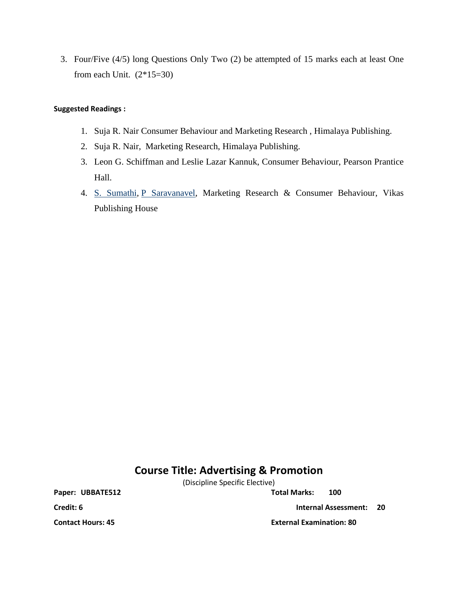3. Four/Five (4/5) long Questions Only Two (2) be attempted of 15 marks each at least One from each Unit.  $(2*15=30)$ 

### **Suggested Readings :**

- 1. Suja R. Nair Consumer Behaviour and Marketing Research , Himalaya Publishing.
- 2. Suja R. Nair, Marketing Research, Himalaya Publishing.
- 3. Leon G. Schiffman and Leslie Lazar Kannuk, Consumer Behaviour, Pearson Prantice Hall.
- 4. [S. Sumathi,](https://www.google.co.in/search?tbo=p&tbm=bks&q=inauthor:%22S.+Sumathi%22&source=gbs_metadata_r&cad=2) [P Saravanavel,](https://www.google.co.in/search?tbo=p&tbm=bks&q=inauthor:%22P+Saravanavel%22&source=gbs_metadata_r&cad=2) Marketing Research & Consumer Behaviour, Vikas Publishing House

## **Course Title: Advertising & Promotion**

(Discipline Specific Elective)

Paper: UBBATE512 Total Marks: 100

**Credit: 6 Internal Assessment: 20** 

**Contact Hours: 45 External Examination: 80**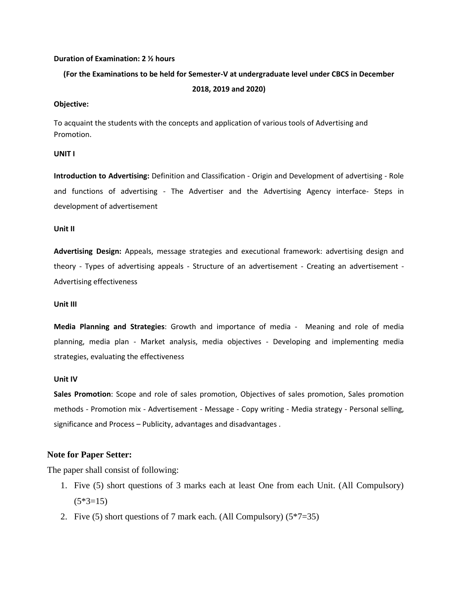#### **Duration of Examination: 2 ½ hours**

## **(For the Examinations to be held for Semester-V at undergraduate level under CBCS in December 2018, 2019 and 2020)**

#### **Objective:**

To acquaint the students with the concepts and application of various tools of Advertising and Promotion.

#### **UNIT I**

**Introduction to Advertising:** Definition and Classification - Origin and Development of advertising - Role and functions of advertising - The Advertiser and the Advertising Agency interface- Steps in development of advertisement

#### **Unit II**

**Advertising Design:** Appeals, message strategies and executional framework: advertising design and theory - Types of advertising appeals - Structure of an advertisement - Creating an advertisement - Advertising effectiveness

#### **Unit III**

**Media Planning and Strategies**: Growth and importance of media - Meaning and role of media planning, media plan - Market analysis, media objectives - Developing and implementing media strategies, evaluating the effectiveness

#### **Unit IV**

**Sales Promotion**: Scope and role of sales promotion, Objectives of sales promotion, Sales promotion methods - Promotion mix - Advertisement - Message - Copy writing - Media strategy - Personal selling, significance and Process – Publicity, advantages and disadvantages .

#### **Note for Paper Setter:**

The paper shall consist of following:

- 1. Five (5) short questions of 3 marks each at least One from each Unit. (All Compulsory)  $(5*3=15)$
- 2. Five (5) short questions of 7 mark each. (All Compulsory)  $(5*7=35)$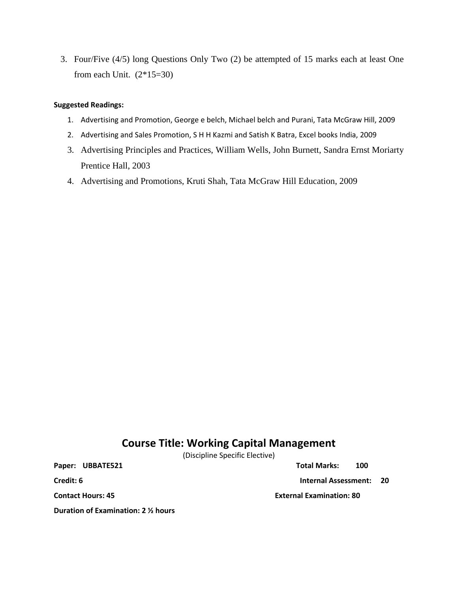3. Four/Five (4/5) long Questions Only Two (2) be attempted of 15 marks each at least One from each Unit.  $(2*15=30)$ 

### **Suggested Readings:**

- 1. Advertising and Promotion, George e belch, Michael belch and Purani, Tata McGraw Hill, 2009
- 2. Advertising and Sales Promotion, S H H Kazmi and Satish K Batra, Excel books India, 2009
- 3. Advertising Principles and Practices, [William Wells,](https://www.google.co.in/search?tbo=p&tbm=bks&q=inauthor:%22William+Wells%22) [John Burnett,](https://www.google.co.in/search?tbo=p&tbm=bks&q=inauthor:%22John+Burnett%22) [Sandra Ernst Moriarty](https://www.google.co.in/search?tbo=p&tbm=bks&q=inauthor:%22Sandra+Ernst+Moriarty%22) Prentice Hall, 2003
- 4. Advertising and Promotions, Kruti Shah, Tata McGraw Hill Education, 2009

## **Course Title: Working Capital Management**

(Discipline Specific Elective)

**Duration of Examination: 2 ½ hours**

**Paper: UBBATE521 Total Marks: 100**

**Credit: 6 Internal Assessment: 20** 

**Contact Hours: 45 External Examination: 80**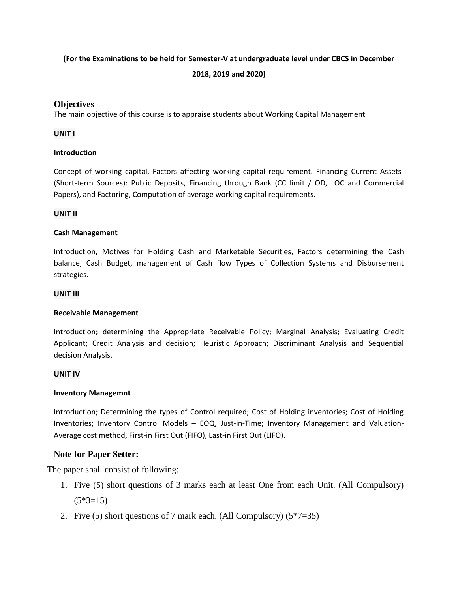## **(For the Examinations to be held for Semester-V at undergraduate level under CBCS in December**

## **2018, 2019 and 2020)**

## **Objectives**

The main objective of this course is to appraise students about Working Capital Management

### **UNIT I**

## **Introduction**

Concept of working capital, Factors affecting working capital requirement. Financing Current Assets- (Short-term Sources): Public Deposits, Financing through Bank (CC limit / OD, LOC and Commercial Papers), and Factoring, Computation of average working capital requirements.

## **UNIT II**

## **Cash Management**

Introduction, Motives for Holding Cash and Marketable Securities, Factors determining the Cash balance, Cash Budget, management of Cash flow Types of Collection Systems and Disbursement strategies.

### **UNIT III**

## **Receivable Management**

Introduction; determining the Appropriate Receivable Policy; Marginal Analysis; Evaluating Credit Applicant; Credit Analysis and decision; Heuristic Approach; Discriminant Analysis and Sequential decision Analysis.

### **UNIT IV**

### **Inventory Managemnt**

Introduction; Determining the types of Control required; Cost of Holding inventories; Cost of Holding Inventories; Inventory Control Models – EOQ, Just-in-Time; Inventory Management and Valuation-Average cost method, First-in First Out (FIFO), Last-in First Out (LIFO).

## **Note for Paper Setter:**

The paper shall consist of following:

- 1. Five (5) short questions of 3 marks each at least One from each Unit. (All Compulsory)  $(5*3=15)$
- 2. Five (5) short questions of 7 mark each. (All Compulsory)  $(5*7=35)$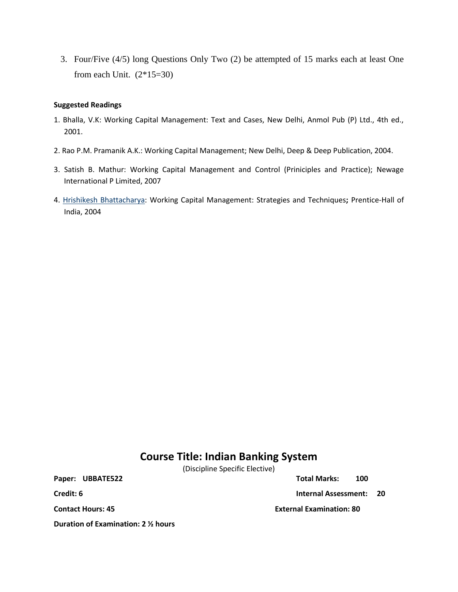3. Four/Five (4/5) long Questions Only Two (2) be attempted of 15 marks each at least One from each Unit.  $(2*15=30)$ 

### **Suggested Readings**

- 1. Bhalla, V.K: Working Capital Management: Text and Cases, New Delhi, Anmol Pub (P) Ltd., 4th ed., 2001.
- 2. Rao P.M. Pramanik A.K.: Working Capital Management; New Delhi, Deep & Deep Publication, 2004.
- 3. Satish B. Mathur: Working Capital Management and Control (Priniciples and Practice); Newage International P Limited, 2007
- 4. [Hrishikesh Bhattacharya:](https://www.google.co.in/search?tbo=p&tbm=bks&q=inauthor:%22Hrishikesh+Bhattacharya%22) Working Capital Management: Strategies and Techniques**;** Prentice-Hall of India, 2004

## **Course Title: Indian Banking System**

(Discipline Specific Elective)

Paper: UBBATE522 Total Marks: 100

**Credit: 6 Internal Assessment: 20**

**Contact Hours: 45 External Examination: 80**

**Duration of Examination: 2 ½ hours**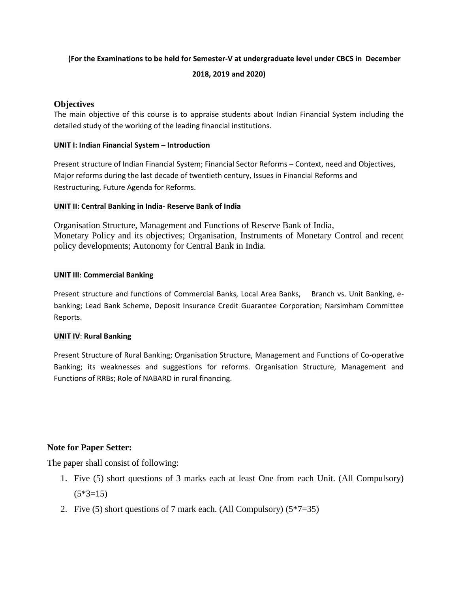## **(For the Examinations to be held for Semester-V at undergraduate level under CBCS in December**

**2018, 2019 and 2020)**

## **Objectives**

The main objective of this course is to appraise students about Indian Financial System including the detailed study of the working of the leading financial institutions.

## **UNIT I: Indian Financial System – Introduction**

Present structure of Indian Financial System; Financial Sector Reforms – Context, need and Objectives, Major reforms during the last decade of twentieth century, Issues in Financial Reforms and Restructuring, Future Agenda for Reforms.

## **UNIT II: Central Banking in India- Reserve Bank of India**

Organisation Structure, Management and Functions of Reserve Bank of India, Monetary Policy and its objectives; Organisation, Instruments of Monetary Control and recent policy developments; Autonomy for Central Bank in India.

## **UNIT III**: **Commercial Banking**

Present structure and functions of Commercial Banks, Local Area Banks, Branch vs. Unit Banking, ebanking; Lead Bank Scheme, Deposit Insurance Credit Guarantee Corporation; Narsimham Committee Reports.

## **UNIT IV**: **Rural Banking**

Present Structure of Rural Banking; Organisation Structure, Management and Functions of Co-operative Banking; its weaknesses and suggestions for reforms. Organisation Structure, Management and Functions of RRBs; Role of NABARD in rural financing.

## **Note for Paper Setter:**

The paper shall consist of following:

- 1. Five (5) short questions of 3 marks each at least One from each Unit. (All Compulsory)  $(5*3=15)$
- 2. Five (5) short questions of 7 mark each. (All Compulsory)  $(5*7=35)$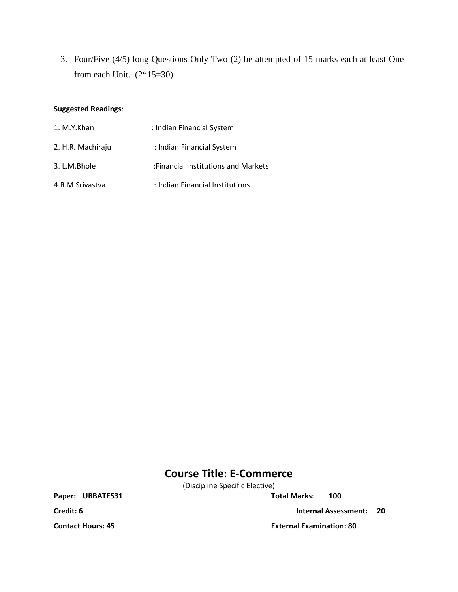3. Four/Five (4/5) long Questions Only Two (2) be attempted of 15 marks each at least One from each Unit.  $(2*15=30)$ 

### **Suggested Readings**:

| 1. M.Y.Khan       | : Indian Financial System           |
|-------------------|-------------------------------------|
| 2. H.R. Machiraju | : Indian Financial System           |
| 3. L.M.Bhole      | :Financial Institutions and Markets |
| 4.R.M.Srivastva   | : Indian Financial Institutions     |

## **Course Title: E-Commerce**

(Discipline Specific Elective)

Paper: UBBATE531 Total Marks: 100

**Credit: 6 Internal Assessment: 20** 

**Contact Hours: 45 External Examination: 80**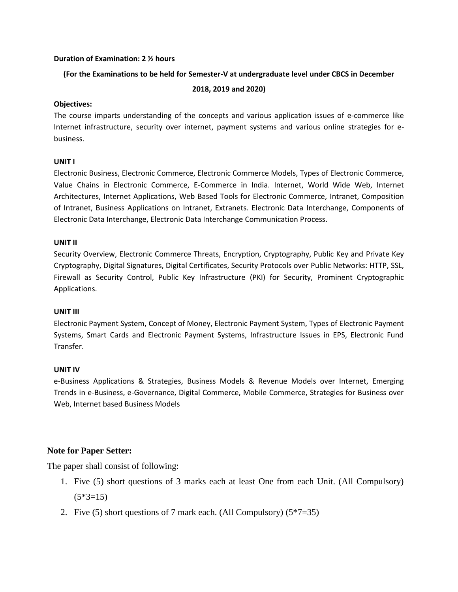#### **Duration of Examination: 2 ½ hours**

### **(For the Examinations to be held for Semester-V at undergraduate level under CBCS in December**

#### **2018, 2019 and 2020)**

### **Objectives:**

The course imparts understanding of the concepts and various application issues of e-commerce like Internet infrastructure, security over internet, payment systems and various online strategies for ebusiness.

## **UNIT I**

Electronic Business, Electronic Commerce, Electronic Commerce Models, Types of Electronic Commerce, Value Chains in Electronic Commerce, E-Commerce in India. Internet, World Wide Web, Internet Architectures, Internet Applications, Web Based Tools for Electronic Commerce, Intranet, Composition of Intranet, Business Applications on Intranet, Extranets. Electronic Data Interchange, Components of Electronic Data Interchange, Electronic Data Interchange Communication Process.

### **UNIT II**

Security Overview, Electronic Commerce Threats, Encryption, Cryptography, Public Key and Private Key Cryptography, Digital Signatures, Digital Certificates, Security Protocols over Public Networks: HTTP, SSL, Firewall as Security Control, Public Key Infrastructure (PKI) for Security, Prominent Cryptographic Applications.

### **UNIT III**

Electronic Payment System, Concept of Money, Electronic Payment System, Types of Electronic Payment Systems, Smart Cards and Electronic Payment Systems, Infrastructure Issues in EPS, Electronic Fund Transfer.

## **UNIT IV**

e-Business Applications & Strategies, Business Models & Revenue Models over Internet, Emerging Trends in e-Business, e-Governance, Digital Commerce, Mobile Commerce, Strategies for Business over Web, Internet based Business Models

## **Note for Paper Setter:**

The paper shall consist of following:

- 1. Five (5) short questions of 3 marks each at least One from each Unit. (All Compulsory)  $(5*3=15)$
- 2. Five (5) short questions of 7 mark each. (All Compulsory)  $(5*7=35)$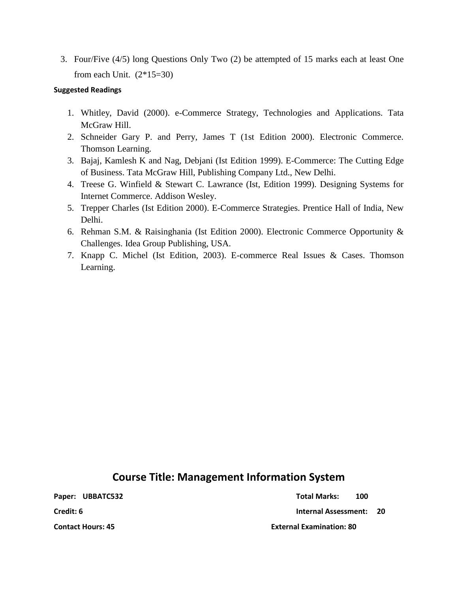3. Four/Five (4/5) long Questions Only Two (2) be attempted of 15 marks each at least One from each Unit.  $(2*15=30)$ 

### **Suggested Readings**

- 1. Whitley, David (2000). e-Commerce Strategy, Technologies and Applications. Tata McGraw Hill.
- 2. Schneider Gary P. and Perry, James T (1st Edition 2000). Electronic Commerce. Thomson Learning.
- 3. Bajaj, Kamlesh K and Nag, Debjani (Ist Edition 1999). E-Commerce: The Cutting Edge of Business. Tata McGraw Hill, Publishing Company Ltd., New Delhi.
- 4. Treese G. Winfield & Stewart C. Lawrance (Ist, Edition 1999). Designing Systems for Internet Commerce. Addison Wesley.
- 5. Trepper Charles (Ist Edition 2000). E-Commerce Strategies. Prentice Hall of India, New Delhi.
- 6. Rehman S.M. & Raisinghania (Ist Edition 2000). Electronic Commerce Opportunity & Challenges. Idea Group Publishing, USA.
- 7. Knapp C. Michel (Ist Edition, 2003). E-commerce Real Issues & Cases. Thomson Learning.

## **Course Title: Management Information System**

**Paper: UBBATC532 Total Marks: 100**

**Credit: 6 Internal Assessment: 20** 

**Contact Hours: 45 External Examination: 80**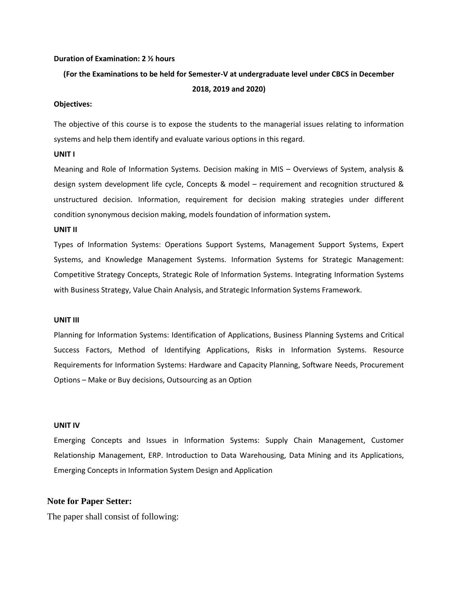#### **Duration of Examination: 2 ½ hours**

## **(For the Examinations to be held for Semester-V at undergraduate level under CBCS in December 2018, 2019 and 2020)**

#### **Objectives:**

The objective of this course is to expose the students to the managerial issues relating to information systems and help them identify and evaluate various options in this regard.

#### **UNIT I**

Meaning and Role of Information Systems. Decision making in MIS – Overviews of System, analysis & design system development life cycle, Concepts & model – requirement and recognition structured & unstructured decision. Information, requirement for decision making strategies under different condition synonymous decision making, models foundation of information system**.**

#### **UNIT II**

Types of Information Systems: Operations Support Systems, Management Support Systems, Expert Systems, and Knowledge Management Systems. Information Systems for Strategic Management: Competitive Strategy Concepts, Strategic Role of Information Systems. Integrating Information Systems with Business Strategy, Value Chain Analysis, and Strategic Information Systems Framework.

#### **UNIT III**

Planning for Information Systems: Identification of Applications, Business Planning Systems and Critical Success Factors, Method of Identifying Applications, Risks in Information Systems. Resource Requirements for Information Systems: Hardware and Capacity Planning, Software Needs, Procurement Options – Make or Buy decisions, Outsourcing as an Option

#### **UNIT IV**

Emerging Concepts and Issues in Information Systems: Supply Chain Management, Customer Relationship Management, ERP. Introduction to Data Warehousing, Data Mining and its Applications, Emerging Concepts in Information System Design and Application

#### **Note for Paper Setter:**

The paper shall consist of following: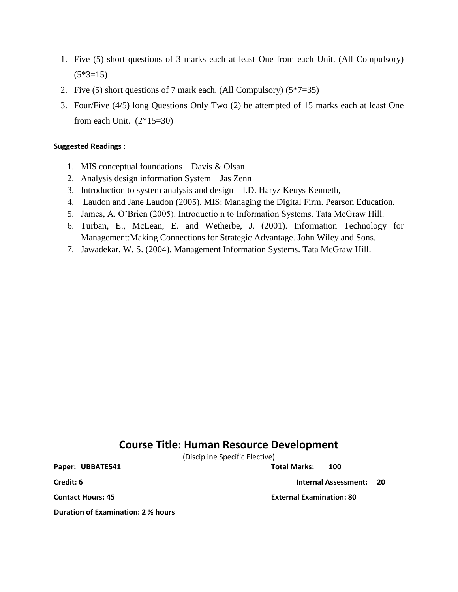- 1. Five (5) short questions of 3 marks each at least One from each Unit. (All Compulsory)  $(5*3=15)$
- 2. Five (5) short questions of 7 mark each. (All Compulsory)  $(5*7=35)$
- 3. Four/Five (4/5) long Questions Only Two (2) be attempted of 15 marks each at least One from each Unit.  $(2*15=30)$

#### **Suggested Readings :**

- 1. MIS conceptual foundations Davis & Olsan
- 2. Analysis design information System Jas Zenn
- 3. Introduction to system analysis and design I.D. Haryz Keuys Kenneth,
- 4. Laudon and Jane Laudon (2005). MIS: Managing the Digital Firm. Pearson Education.
- 5. James, A. O'Brien (2005). Introductio n to Information Systems. Tata McGraw Hill.
- 6. Turban, E., McLean, E. and Wetherbe, J. (2001). Information Technology for Management:Making Connections for Strategic Advantage. John Wiley and Sons.
- 7. Jawadekar, W. S. (2004). Management Information Systems. Tata McGraw Hill.

## **Course Title: Human Resource Development**

(Discipline Specific Elective)

**Paper: UBBATE541 Total Marks: 100** 

**Duration of Examination: 2 ½ hours**

**Credit: 6 Internal Assessment: 20** 

**Contact Hours: 45 External Examination: 80**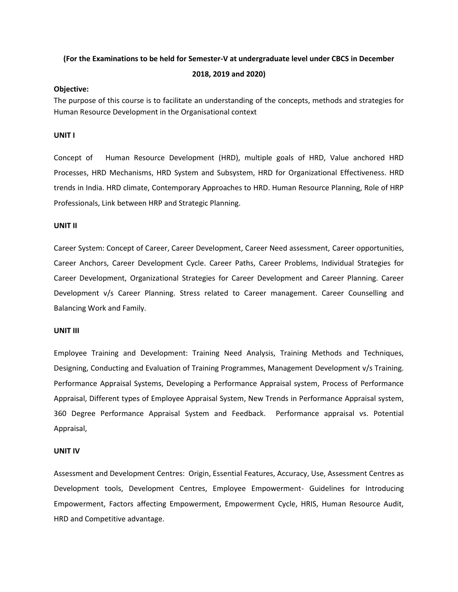## **(For the Examinations to be held for Semester-V at undergraduate level under CBCS in December**

#### **2018, 2019 and 2020)**

#### **Objective:**

The purpose of this course is to facilitate an understanding of the concepts, methods and strategies for Human Resource Development in the Organisational context

### **UNIT I**

Concept of Human Resource Development (HRD), multiple goals of HRD, Value anchored HRD Processes, HRD Mechanisms, HRD System and Subsystem, HRD for Organizational Effectiveness. HRD trends in India. HRD climate, Contemporary Approaches to HRD. Human Resource Planning, Role of HRP Professionals, Link between HRP and Strategic Planning.

### **UNIT II**

Career System: Concept of Career, Career Development, Career Need assessment, Career opportunities, Career Anchors, Career Development Cycle. Career Paths, Career Problems, Individual Strategies for Career Development, Organizational Strategies for Career Development and Career Planning. Career Development v/s Career Planning. Stress related to Career management. Career Counselling and Balancing Work and Family.

### **UNIT III**

Employee Training and Development: Training Need Analysis, Training Methods and Techniques, Designing, Conducting and Evaluation of Training Programmes, Management Development v/s Training. Performance Appraisal Systems, Developing a Performance Appraisal system, Process of Performance Appraisal, Different types of Employee Appraisal System, New Trends in Performance Appraisal system, 360 Degree Performance Appraisal System and Feedback. Performance appraisal vs. Potential Appraisal,

### **UNIT IV**

Assessment and Development Centres: Origin, Essential Features, Accuracy, Use, Assessment Centres as Development tools, Development Centres, Employee Empowerment- Guidelines for Introducing Empowerment, Factors affecting Empowerment, Empowerment Cycle, HRIS, Human Resource Audit, HRD and Competitive advantage.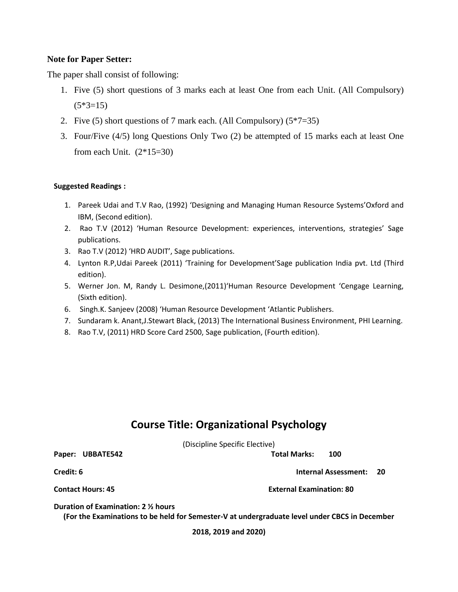## **Note for Paper Setter:**

The paper shall consist of following:

- 1. Five (5) short questions of 3 marks each at least One from each Unit. (All Compulsory)  $(5*3=15)$
- 2. Five (5) short questions of 7 mark each. (All Compulsory)  $(5*7=35)$
- 3. Four/Five (4/5) long Questions Only Two (2) be attempted of 15 marks each at least One from each Unit.  $(2*15=30)$

## **Suggested Readings :**

- 1. Pareek Udai and T.V Rao, (1992) 'Designing and Managing Human Resource Systems'Oxford and IBM, (Second edition).
- 2. Rao T.V (2012) 'Human Resource Development: experiences, interventions, strategies' Sage publications.
- 3. Rao T.V (2012) 'HRD AUDIT', Sage publications.
- 4. Lynton R.P,Udai Pareek (2011) 'Training for Development'Sage publication India pvt. Ltd (Third edition).
- 5. Werner Jon. M, Randy L. Desimone,(2011)'Human Resource Development 'Cengage Learning, (Sixth edition).
- 6. Singh.K. Sanjeev (2008) 'Human Resource Development 'Atlantic Publishers.
- 7. Sundaram k. Anant,J.Stewart Black, (2013) The International Business Environment, PHI Learning.
- 8. Rao T.V, (2011) HRD Score Card 2500, Sage publication, (Fourth edition).

## **Course Title: Organizational Psychology**

(Discipline Specific Elective)

**Paper: UBBATE542 Total Marks: 100**

**Credit: 6 Internal Assessment: 20**

**Contact Hours: 45 External Examination: 80**

**Duration of Examination: 2 ½ hours**

**(For the Examinations to be held for Semester-V at undergraduate level under CBCS in December** 

**2018, 2019 and 2020)**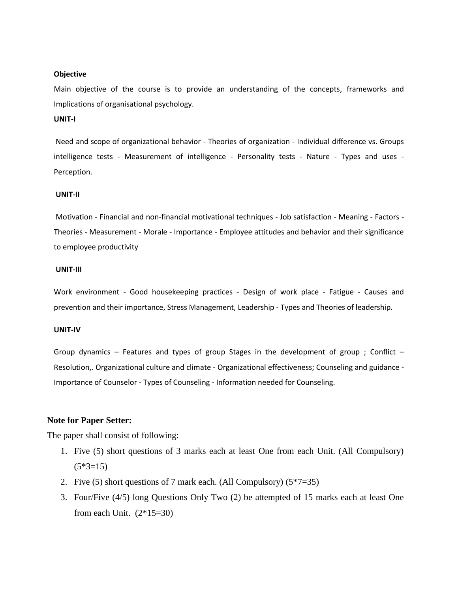#### **Objective**

Main objective of the course is to provide an understanding of the concepts, frameworks and Implications of organisational psychology.

#### **UNIT-I**

Need and scope of organizational behavior - Theories of organization - Individual difference vs. Groups intelligence tests - Measurement of intelligence - Personality tests - Nature - Types and uses -Perception.

#### **UNIT-II**

Motivation - Financial and non-financial motivational techniques - Job satisfaction - Meaning - Factors - Theories - Measurement - Morale - Importance - Employee attitudes and behavior and their significance to employee productivity

#### **UNIT-III**

Work environment - Good housekeeping practices - Design of work place - Fatigue - Causes and prevention and their importance, Stress Management, Leadership - Types and Theories of leadership.

#### **UNIT-IV**

Group dynamics – Features and types of group Stages in the development of group ; Conflict – Resolution,. Organizational culture and climate - Organizational effectiveness; Counseling and guidance - Importance of Counselor - Types of Counseling - Information needed for Counseling.

### **Note for Paper Setter:**

The paper shall consist of following:

- 1. Five (5) short questions of 3 marks each at least One from each Unit. (All Compulsory)  $(5*3=15)$
- 2. Five (5) short questions of 7 mark each. (All Compulsory)  $(5*7=35)$
- 3. Four/Five (4/5) long Questions Only Two (2) be attempted of 15 marks each at least One from each Unit.  $(2*15=30)$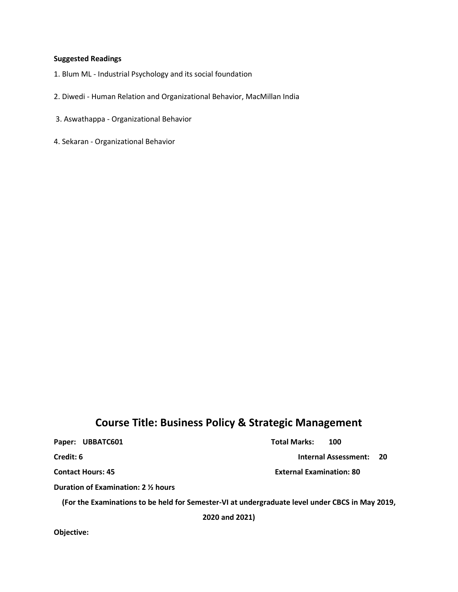#### **Suggested Readings**

- 1. Blum ML Industrial Psychology and its social foundation
- 2. Diwedi Human Relation and Organizational Behavior, MacMillan India
- 3. Aswathappa Organizational Behavior
- 4. Sekaran Organizational Behavior

## **Course Title: Business Policy & Strategic Management**

Paper: UBBATC601 **Total Marks:** 100

**Credit: 6 Internal Assessment: 20** 

**Contact Hours: 45 External Examination: 80**

**Duration of Examination: 2 ½ hours**

**(For the Examinations to be held for Semester-VI at undergraduate level under CBCS in May 2019,** 

**2020 and 2021)**

**Objective:**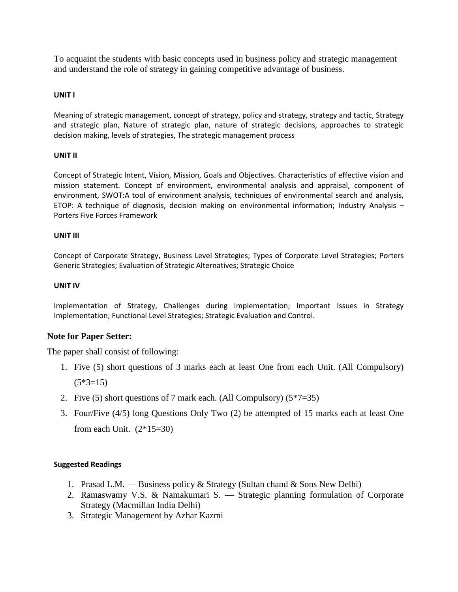To acquaint the students with basic concepts used in business policy and strategic management and understand the role of strategy in gaining competitive advantage of business.

## **UNIT I**

Meaning of strategic management, concept of strategy, policy and strategy, strategy and tactic, Strategy and strategic plan, Nature of strategic plan, nature of strategic decisions, approaches to strategic decision making, levels of strategies, The strategic management process

## **UNIT II**

Concept of Strategic Intent, Vision, Mission, Goals and Objectives. Characteristics of effective vision and mission statement. Concept of environment, environmental analysis and appraisal, component of environment, SWOT:A tool of environment analysis, techniques of environmental search and analysis, ETOP: A technique of diagnosis, decision making on environmental information; Industry Analysis – Porters Five Forces Framework

### **UNIT III**

Concept of Corporate Strategy, Business Level Strategies; Types of Corporate Level Strategies; Porters Generic Strategies; Evaluation of Strategic Alternatives; Strategic Choice

## **UNIT IV**

Implementation of Strategy, Challenges during Implementation; Important Issues in Strategy Implementation; Functional Level Strategies; Strategic Evaluation and Control.

## **Note for Paper Setter:**

The paper shall consist of following:

- 1. Five (5) short questions of 3 marks each at least One from each Unit. (All Compulsory)  $(5*3=15)$
- 2. Five (5) short questions of 7 mark each. (All Compulsory)  $(5*7=35)$
- 3. Four/Five (4/5) long Questions Only Two (2) be attempted of 15 marks each at least One from each Unit.  $(2*15=30)$

## **Suggested Readings**

- 1. Prasad L.M. Business policy & Strategy (Sultan chand & Sons New Delhi)
- 2. Ramaswamy V.S. & Namakumari S. Strategic planning formulation of Corporate Strategy (Macmillan India Delhi)
- 3. Strategic Management by Azhar Kazmi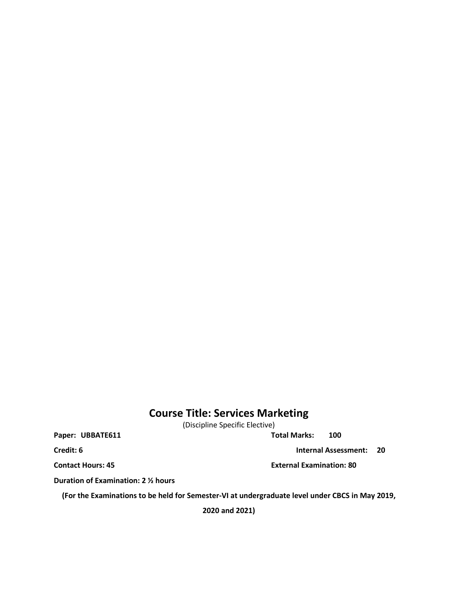## **Course Title: Services Marketing**

(Discipline Specific Elective)

Paper: UBBATE611 **Total Marks:** 100

**Duration of Examination: 2 ½ hours**

**(For the Examinations to be held for Semester-VI at undergraduate level under CBCS in May 2019,** 

**2020 and 2021)**

**Credit: 6** Internal Assessment: 20

**Contact Hours: 45 External Examination: 80**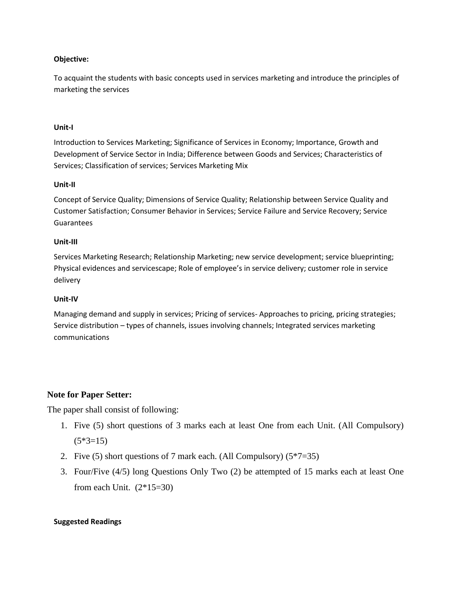### **Objective:**

To acquaint the students with basic concepts used in services marketing and introduce the principles of marketing the services

### **Unit-I**

Introduction to Services Marketing; Significance of Services in Economy; Importance, Growth and Development of Service Sector in India; Difference between Goods and Services; Characteristics of Services; Classification of services; Services Marketing Mix

## **Unit-II**

Concept of Service Quality; Dimensions of Service Quality; Relationship between Service Quality and Customer Satisfaction; Consumer Behavior in Services; Service Failure and Service Recovery; Service Guarantees

### **Unit-III**

Services Marketing Research; Relationship Marketing; new service development; service blueprinting; Physical evidences and servicescape; Role of employee's in service delivery; customer role in service delivery

### **Unit-IV**

Managing demand and supply in services; Pricing of services- Approaches to pricing, pricing strategies; Service distribution – types of channels, issues involving channels; Integrated services marketing communications

## **Note for Paper Setter:**

The paper shall consist of following:

- 1. Five (5) short questions of 3 marks each at least One from each Unit. (All Compulsory)  $(5*3=15)$
- 2. Five (5) short questions of 7 mark each. (All Compulsory)  $(5*7=35)$
- 3. Four/Five (4/5) long Questions Only Two (2) be attempted of 15 marks each at least One from each Unit.  $(2*15=30)$

### **Suggested Readings**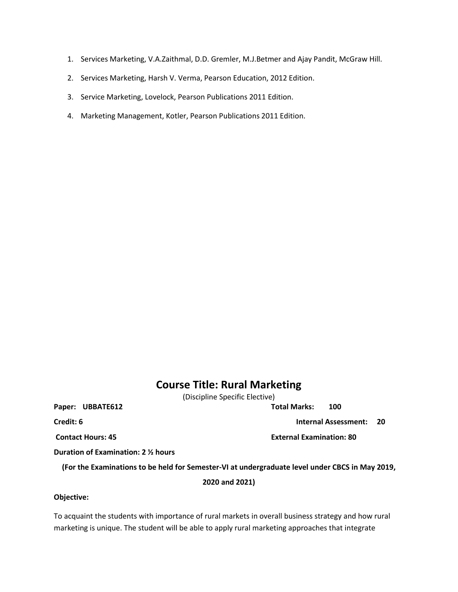- 1. Services Marketing, V.A.Zaithmal, D.D. Gremler, M.J.Betmer and Ajay Pandit, McGraw Hill.
- 2. Services Marketing, Harsh V. Verma, Pearson Education, 2012 Edition.
- 3. Service Marketing, Lovelock, Pearson Publications 2011 Edition.
- 4. Marketing Management, Kotler, Pearson Publications 2011 Edition.

## **Course Title: Rural Marketing**

(Discipline Specific Elective)

**Paper: UBBATE612 Total Marks: 100**

**Credit: 6 Internal Assessment: 20** 

**Contact Hours: 45 External Examination: 80**

**Duration of Examination: 2 ½ hours**

**(For the Examinations to be held for Semester-VI at undergraduate level under CBCS in May 2019,** 

**2020 and 2021)**

### **Objective:**

To acquaint the students with importance of rural markets in overall business strategy and how rural marketing is unique. The student will be able to apply rural marketing approaches that integrate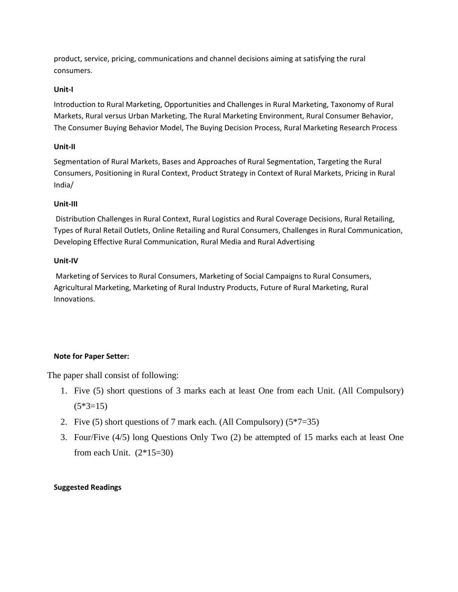product, service, pricing, communications and channel decisions aiming at satisfying the rural consumers.

## **Unit-I**

Introduction to Rural Marketing, Opportunities and Challenges in Rural Marketing, Taxonomy of Rural Markets, Rural versus Urban Marketing, The Rural Marketing Environment, Rural Consumer Behavior, The Consumer Buying Behavior Model, The Buying Decision Process, Rural Marketing Research Process

## **Unit-II**

Segmentation of Rural Markets, Bases and Approaches of Rural Segmentation, Targeting the Rural Consumers, Positioning in Rural Context, Product Strategy in Context of Rural Markets, Pricing in Rural India/

## **Unit-III**

Distribution Challenges in Rural Context, Rural Logistics and Rural Coverage Decisions, Rural Retailing, Types of Rural Retail Outlets, Online Retailing and Rural Consumers, Challenges in Rural Communication, Developing Effective Rural Communication, Rural Media and Rural Advertising

## **Unit-IV**

Marketing of Services to Rural Consumers, Marketing of Social Campaigns to Rural Consumers, Agricultural Marketing, Marketing of Rural Industry Products, Future of Rural Marketing, Rural Innovations.

## **Note for Paper Setter:**

The paper shall consist of following:

- 1. Five (5) short questions of 3 marks each at least One from each Unit. (All Compulsory)  $(5*3=15)$
- 2. Five (5) short questions of 7 mark each. (All Compulsory) (5\*7=35)
- 3. Four/Five (4/5) long Questions Only Two (2) be attempted of 15 marks each at least One from each Unit.  $(2*15=30)$

## **Suggested Readings**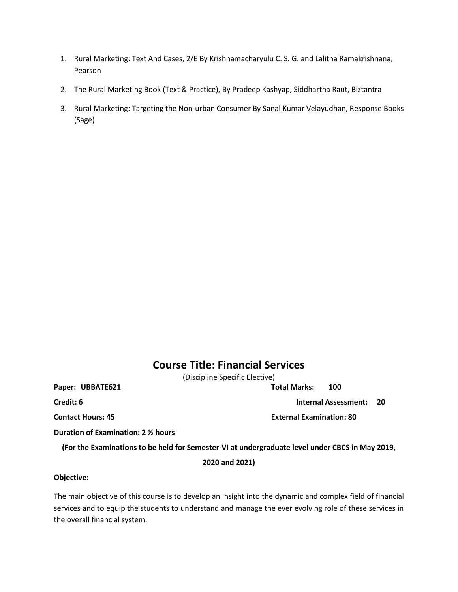- 1. Rural Marketing: Text And Cases, 2/E By Krishnamacharyulu C. S. G. and Lalitha Ramakrishnana, Pearson
- 2. The Rural Marketing Book (Text & Practice), By Pradeep Kashyap, Siddhartha Raut, Biztantra
- 3. Rural Marketing: Targeting the Non-urban Consumer By Sanal Kumar Velayudhan, Response Books (Sage)

## **Course Title: Financial Services**

(Discipline Specific Elective)

**Paper: UBBATE621 Total Marks: 100**

**Credit: 6 Internal Assessment: 20** 

**Contact Hours: 45 External Examination: 80**

**Duration of Examination: 2 ½ hours**

**(For the Examinations to be held for Semester-VI at undergraduate level under CBCS in May 2019,** 

**2020 and 2021)**

#### **Objective:**

The main objective of this course is to develop an insight into the dynamic and complex field of financial services and to equip the students to understand and manage the ever evolving role of these services in the overall financial system.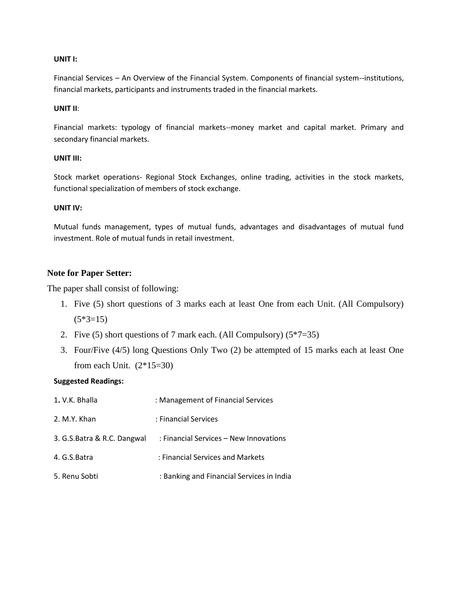#### **UNIT I:**

Financial Services – An Overview of the Financial System. Components of financial system--institutions, financial markets, participants and instruments traded in the financial markets.

#### **UNIT II**:

Financial markets: typology of financial markets--money market and capital market. Primary and secondary financial markets.

#### **UNIT III:**

Stock market operations- Regional Stock Exchanges, online trading, activities in the stock markets, functional specialization of members of stock exchange.

#### **UNIT IV:**

Mutual funds management, types of mutual funds, advantages and disadvantages of mutual fund investment. Role of mutual funds in retail investment.

## **Note for Paper Setter:**

The paper shall consist of following:

- 1. Five (5) short questions of 3 marks each at least One from each Unit. (All Compulsory)  $(5*3=15)$
- 2. Five (5) short questions of 7 mark each. (All Compulsory)  $(5*7=35)$
- 3. Four/Five (4/5) long Questions Only Two (2) be attempted of 15 marks each at least One from each Unit.  $(2*15=30)$

### **Suggested Readings:**

| 1. V.K. Bhalla              | : Management of Financial Services        |
|-----------------------------|-------------------------------------------|
| 2. M.Y. Khan                | : Financial Services                      |
| 3. G.S.Batra & R.C. Dangwal | : Financial Services – New Innovations    |
| 4. G.S.Batra                | : Financial Services and Markets          |
| 5. Renu Sobti               | : Banking and Financial Services in India |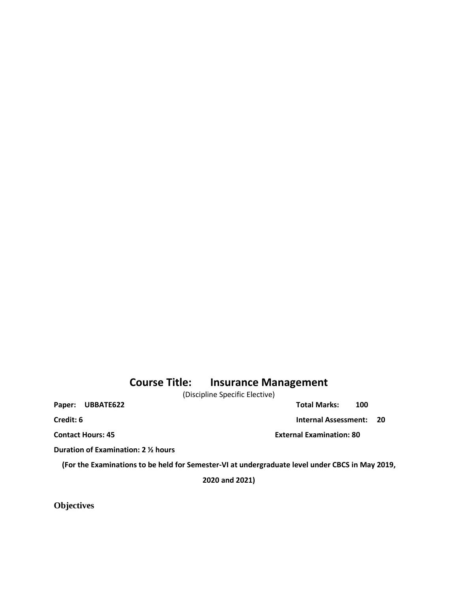## **Course Title: Insurance Management**

(Discipline Specific Elective)

Paper: UBBATE622 **Total Marks:** 100

**Credit: 6 Internal Assessment: 20** 

**Contact Hours: 45 External Examination: 80**

**Duration of Examination: 2 ½ hours**

**(For the Examinations to be held for Semester-VI at undergraduate level under CBCS in May 2019,** 

**2020 and 2021)**

**Objectives**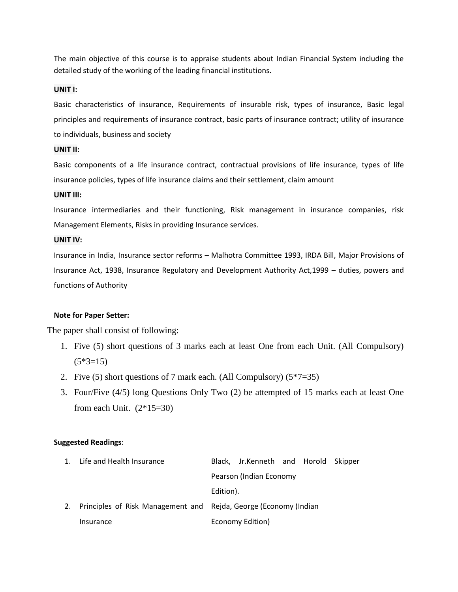The main objective of this course is to appraise students about Indian Financial System including the detailed study of the working of the leading financial institutions.

#### **UNIT I:**

Basic characteristics of insurance, Requirements of insurable risk, types of insurance, Basic legal principles and requirements of insurance contract, basic parts of insurance contract; utility of insurance to individuals, business and society

### **UNIT II:**

Basic components of a life insurance contract, contractual provisions of life insurance, types of life insurance policies, types of life insurance claims and their settlement, claim amount

#### **UNIT III:**

Insurance intermediaries and their functioning, Risk management in insurance companies, risk Management Elements, Risks in providing Insurance services.

#### **UNIT IV:**

Insurance in India, Insurance sector reforms – Malhotra Committee 1993, IRDA Bill, Major Provisions of Insurance Act, 1938, Insurance Regulatory and Development Authority Act,1999 – duties, powers and functions of Authority

### **Note for Paper Setter:**

The paper shall consist of following:

- 1. Five (5) short questions of 3 marks each at least One from each Unit. (All Compulsory)  $(5*3=15)$
- 2. Five (5) short questions of 7 mark each. (All Compulsory)  $(5*7=35)$
- 3. Four/Five (4/5) long Questions Only Two (2) be attempted of 15 marks each at least One from each Unit.  $(2*15=30)$

#### **Suggested Readings**:

| 1. Life and Health Insurance                                        |                         | Black, Jr.Kenneth and Horold Skipper |  |  |  |
|---------------------------------------------------------------------|-------------------------|--------------------------------------|--|--|--|
|                                                                     | Pearson (Indian Economy |                                      |  |  |  |
|                                                                     | Edition).               |                                      |  |  |  |
| 2. Principles of Risk Management and Rejda, George (Economy (Indian |                         |                                      |  |  |  |
| Insurance                                                           |                         | Economy Edition)                     |  |  |  |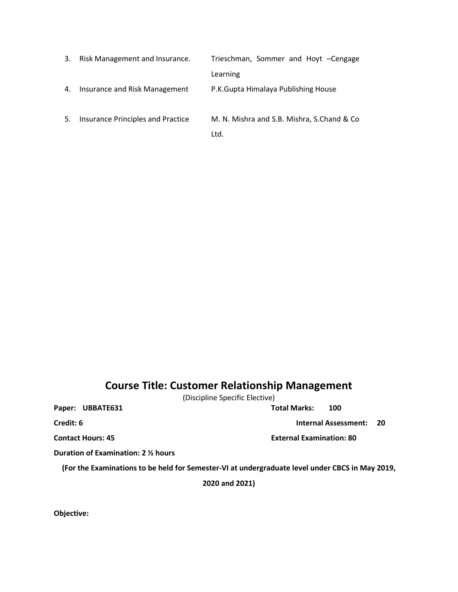| 3. | Risk Management and Insurance.    | Trieschman, Sommer and Hoyt -Cengage                |
|----|-----------------------------------|-----------------------------------------------------|
|    |                                   | Learning                                            |
| 4. | Insurance and Risk Management     | P.K.Gupta Himalaya Publishing House                 |
| 5. | Insurance Principles and Practice | M. N. Mishra and S.B. Mishra, S.Chand & Co.<br>Ltd. |

## **Course Title: Customer Relationship Management**

(Discipline Specific Elective)

Paper: UBBATE631 Total Marks: 100

**Credit: 6 Internal Assessment: 20** 

**Contact Hours: 45 External Examination: 80**

**Duration of Examination: 2 ½ hours**

**(For the Examinations to be held for Semester-VI at undergraduate level under CBCS in May 2019,** 

**2020 and 2021)**

**Objective:**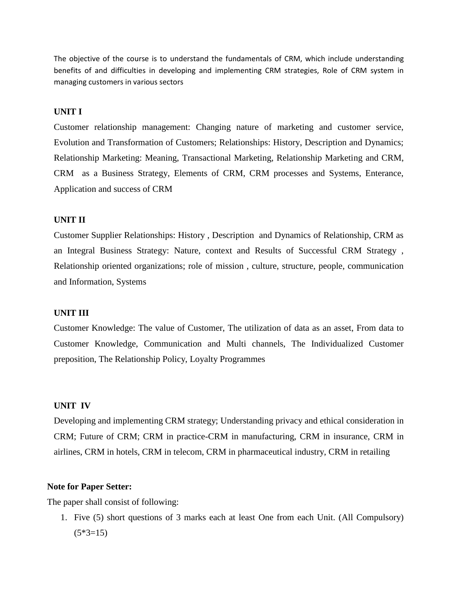The objective of the course is to understand the fundamentals of CRM, which include understanding benefits of and difficulties in developing and implementing CRM strategies, Role of CRM system in managing customers in various sectors

## **UNIT I**

Customer relationship management: Changing nature of marketing and customer service, Evolution and Transformation of Customers; Relationships: History, Description and Dynamics; Relationship Marketing: Meaning, Transactional Marketing, Relationship Marketing and CRM, CRM as a Business Strategy, Elements of CRM, CRM processes and Systems, Enterance, Application and success of CRM

### **UNIT II**

Customer Supplier Relationships: History , Description and Dynamics of Relationship, CRM as an Integral Business Strategy: Nature, context and Results of Successful CRM Strategy , Relationship oriented organizations; role of mission , culture, structure, people, communication and Information, Systems

## **UNIT III**

Customer Knowledge: The value of Customer, The utilization of data as an asset, From data to Customer Knowledge, Communication and Multi channels, The Individualized Customer preposition, The Relationship Policy, Loyalty Programmes

#### **UNIT IV**

Developing and implementing CRM strategy; Understanding privacy and ethical consideration in CRM; Future of CRM; CRM in practice-CRM in manufacturing, CRM in insurance, CRM in airlines, CRM in hotels, CRM in telecom, CRM in pharmaceutical industry, CRM in retailing

## **Note for Paper Setter:**

The paper shall consist of following:

1. Five (5) short questions of 3 marks each at least One from each Unit. (All Compulsory)  $(5*3=15)$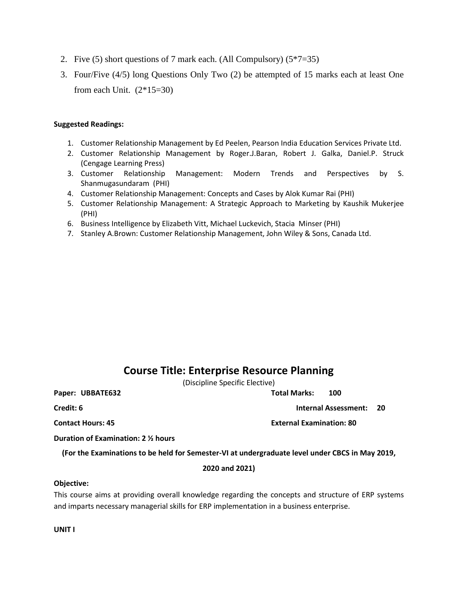- 2. Five (5) short questions of 7 mark each. (All Compulsory) (5\*7=35)
- 3. Four/Five (4/5) long Questions Only Two (2) be attempted of 15 marks each at least One from each Unit.  $(2*15=30)$

#### **Suggested Readings:**

- 1. Customer Relationship Management by Ed Peelen, Pearson India Education Services Private Ltd.
- 2. Customer Relationship Management by Roger.J.Baran, Robert J. Galka, Daniel.P. Struck (Cengage Learning Press)
- 3. Customer Relationship Management: Modern Trends and Perspectives by S. Shanmugasundaram (PHI)
- 4. Customer Relationship Management: Concepts and Cases by Alok Kumar Rai (PHI)
- 5. Customer Relationship Management: A Strategic Approach to Marketing by Kaushik Mukerjee (PHI)
- 6. Business Intelligence by Elizabeth Vitt, Michael Luckevich, Stacia Minser (PHI)
- 7. Stanley A.Brown: Customer Relationship Management, John Wiley & Sons, Canada Ltd.

## **Course Title: Enterprise Resource Planning**

(Discipline Specific Elective)

**Paper: UBBATE632 Total Marks: 100**

**Credit: 6 Internal Assessment: 20** 

**Contact Hours: 45 Contact Hours: 45** 

**Duration of Examination: 2 ½ hours**

**(For the Examinations to be held for Semester-VI at undergraduate level under CBCS in May 2019,** 

## **2020 and 2021)**

#### **Objective:**

This course aims at providing overall knowledge regarding the concepts and structure of ERP systems and imparts necessary managerial skills for ERP implementation in a business enterprise.

**UNIT I**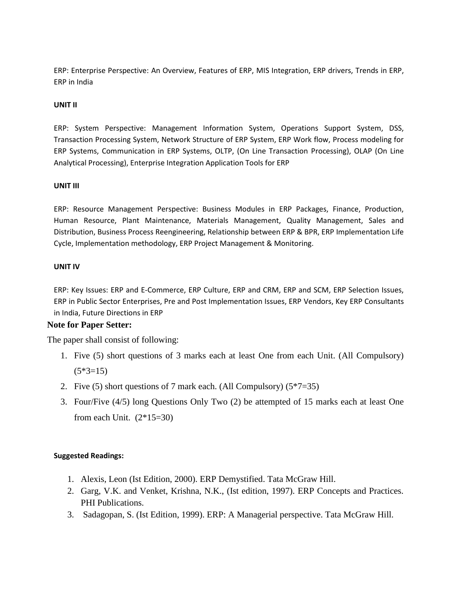ERP: Enterprise Perspective: An Overview, Features of ERP, MIS Integration, ERP drivers, Trends in ERP, ERP in India

## **UNIT II**

ERP: System Perspective: Management Information System, Operations Support System, DSS, Transaction Processing System, Network Structure of ERP System, ERP Work flow, Process modeling for ERP Systems, Communication in ERP Systems, OLTP, (On Line Transaction Processing), OLAP (On Line Analytical Processing), Enterprise Integration Application Tools for ERP

## **UNIT III**

ERP: Resource Management Perspective: Business Modules in ERP Packages, Finance, Production, Human Resource, Plant Maintenance, Materials Management, Quality Management, Sales and Distribution, Business Process Reengineering, Relationship between ERP & BPR, ERP Implementation Life Cycle, Implementation methodology, ERP Project Management & Monitoring.

### **UNIT IV**

ERP: Key Issues: ERP and E-Commerce, ERP Culture, ERP and CRM, ERP and SCM, ERP Selection Issues, ERP in Public Sector Enterprises, Pre and Post Implementation Issues, ERP Vendors, Key ERP Consultants in India, Future Directions in ERP

## **Note for Paper Setter:**

The paper shall consist of following:

- 1. Five (5) short questions of 3 marks each at least One from each Unit. (All Compulsory)  $(5*3=15)$
- 2. Five (5) short questions of 7 mark each. (All Compulsory)  $(5*7=35)$
- 3. Four/Five (4/5) long Questions Only Two (2) be attempted of 15 marks each at least One from each Unit.  $(2*15=30)$

## **Suggested Readings:**

- 1. Alexis, Leon (Ist Edition, 2000). ERP Demystified. Tata McGraw Hill.
- 2. Garg, V.K. and Venket, Krishna, N.K., (Ist edition, 1997). ERP Concepts and Practices. PHI Publications.
- 3. Sadagopan, S. (Ist Edition, 1999). ERP: A Managerial perspective. Tata McGraw Hill.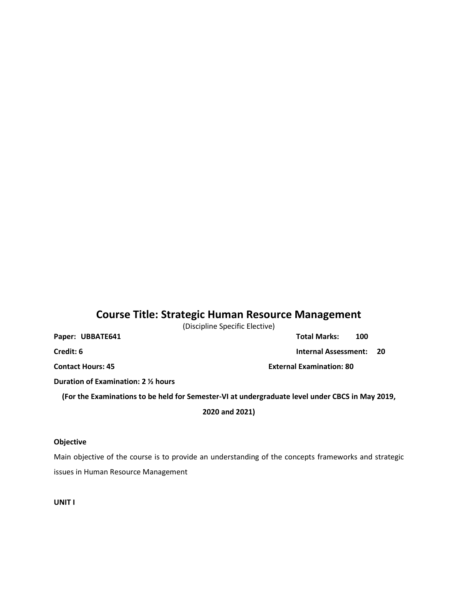## **Course Title: Strategic Human Resource Management**

(Discipline Specific Elective)

| Paper: UBBATE641 |  | <b>Total Marks:</b>            | 100 |  |
|------------------|--|--------------------------------|-----|--|
| Credit: 6        |  | <b>Internal Assessment: 20</b> |     |  |

**Contact Hours: 45 External Examination: 80**

**Duration of Examination: 2 ½ hours**

**(For the Examinations to be held for Semester-VI at undergraduate level under CBCS in May 2019,** 

**2020 and 2021)**

### **Objective**

Main objective of the course is to provide an understanding of the concepts frameworks and strategic issues in Human Resource Management

**UNIT I**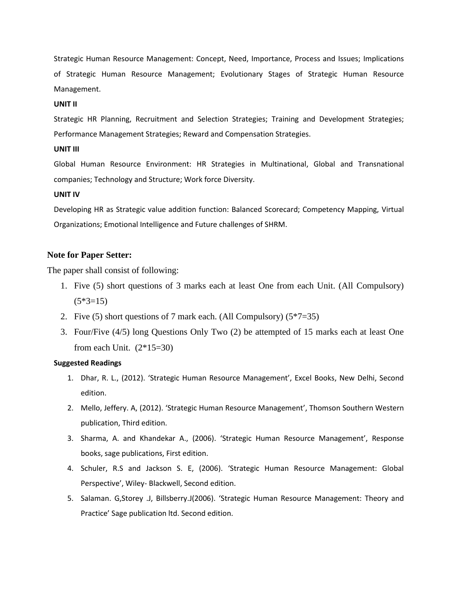Strategic Human Resource Management: Concept, Need, Importance, Process and Issues; Implications of Strategic Human Resource Management; Evolutionary Stages of Strategic Human Resource Management.

#### **UNIT II**

Strategic HR Planning, Recruitment and Selection Strategies; Training and Development Strategies; Performance Management Strategies; Reward and Compensation Strategies.

#### **UNIT III**

Global Human Resource Environment: HR Strategies in Multinational, Global and Transnational companies; Technology and Structure; Work force Diversity.

#### **UNIT IV**

Developing HR as Strategic value addition function: Balanced Scorecard; Competency Mapping, Virtual Organizations; Emotional Intelligence and Future challenges of SHRM.

## **Note for Paper Setter:**

The paper shall consist of following:

- 1. Five (5) short questions of 3 marks each at least One from each Unit. (All Compulsory)  $(5*3=15)$
- 2. Five (5) short questions of 7 mark each. (All Compulsory)  $(5*7=35)$
- 3. Four/Five (4/5) long Questions Only Two (2) be attempted of 15 marks each at least One from each Unit.  $(2*15=30)$

### **Suggested Readings**

- 1. Dhar, R. L., (2012). 'Strategic Human Resource Management', Excel Books, New Delhi, Second edition.
- 2. Mello, Jeffery. A, (2012). 'Strategic Human Resource Management', Thomson Southern Western publication, Third edition.
- 3. Sharma, A. and Khandekar A., (2006). 'Strategic Human Resource Management', Response books, sage publications, First edition.
- 4. Schuler, R.S and Jackson S. E, (2006). 'Strategic Human Resource Management: Global Perspective', Wiley- Blackwell, Second edition.
- 5. Salaman. G,Storey .J, Billsberry.J(2006). 'Strategic Human Resource Management: Theory and Practice' Sage publication ltd. Second edition.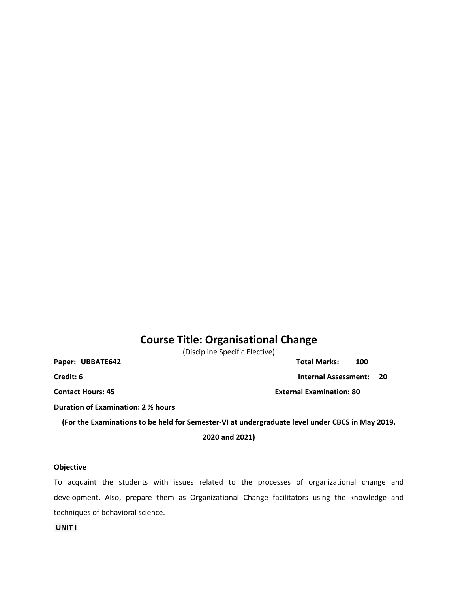## **Course Title: Organisational Change**

(Discipline Specific Elective)

Paper: UBBATE642 Total Marks: 100

**Credit: 6 Internal Assessment: 20** 

**Contact Hours: 45 External Examination: 80**

**Duration of Examination: 2 ½ hours**

**(For the Examinations to be held for Semester-VI at undergraduate level under CBCS in May 2019,** 

**2020 and 2021)**

#### **Objective**

To acquaint the students with issues related to the processes of organizational change and development. Also, prepare them as Organizational Change facilitators using the knowledge and techniques of behavioral science.

**UNIT I**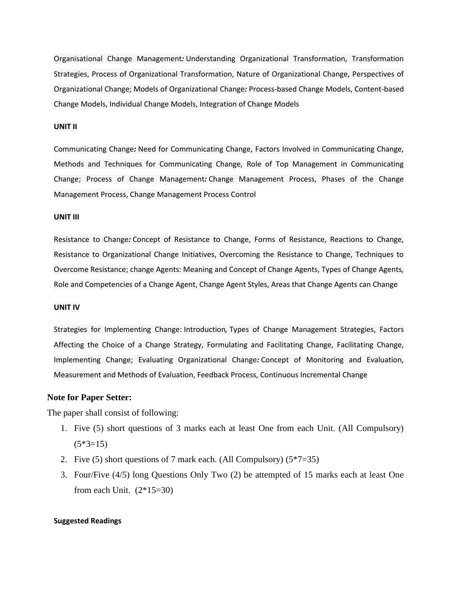Organisational Change Management*:* Understanding Organizational Transformation, Transformation Strategies, Process of Organizational Transformation, Nature of Organizational Change, Perspectives of Organizational Change; Models of Organizational Change*:* Process-based Change Models, Content-based Change Models, Individual Change Models, Integration of Change Models

#### **UNIT II**

Communicating Change*:* Need for Communicating Change, Factors Involved in Communicating Change, Methods and Techniques for Communicating Change, Role of Top Management in Communicating Change; Process of Change Management*:* Change Management Process, Phases of the Change Management Process, Change Management Process Control

#### **UNIT III**

Resistance to Change*:* Concept of Resistance to Change, Forms of Resistance, Reactions to Change, Resistance to Organizational Change Initiatives, Overcoming the Resistance to Change, Techniques to Overcome Resistance; change Agents: Meaning and Concept of Change Agents, Types of Change Agents, Role and Competencies of a Change Agent, Change Agent Styles, Areas that Change Agents can Change

#### **UNIT IV**

Strategies for Implementing Change: Introduction*,* Types of Change Management Strategies, Factors Affecting the Choice of a Change Strategy, Formulating and Facilitating Change, Facilitating Change, Implementing Change; Evaluating Organizational Change*:* Concept of Monitoring and Evaluation, Measurement and Methods of Evaluation, Feedback Process, Continuous Incremental Change

#### **Note for Paper Setter:**

The paper shall consist of following:

- 1. Five (5) short questions of 3 marks each at least One from each Unit. (All Compulsory)  $(5*3=15)$
- 2. Five (5) short questions of 7 mark each. (All Compulsory)  $(5*7=35)$
- 3. Four/Five (4/5) long Questions Only Two (2) be attempted of 15 marks each at least One from each Unit.  $(2*15=30)$

#### **Suggested Readings**